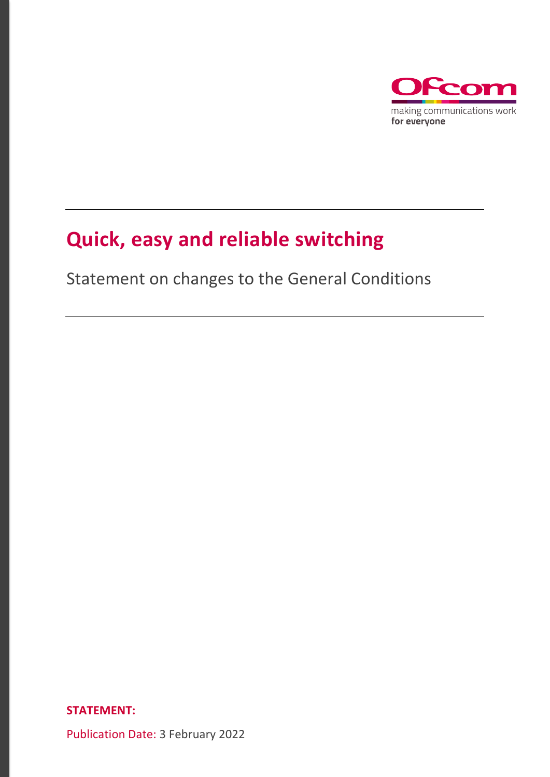

# **Quick, easy and reliable switching**

Statement on changes to the General Conditions

**STATEMENT:**

Publication Date: 3 February 2022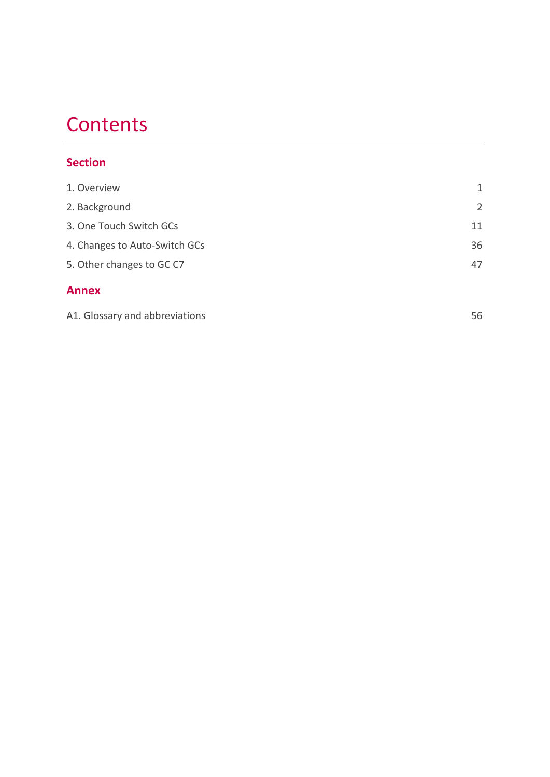# **Contents**

# **Section**

| <b>Annex</b>                  |                |
|-------------------------------|----------------|
| 5. Other changes to GC C7     | 47             |
| 4. Changes to Auto-Switch GCs | 36             |
| 3. One Touch Switch GCs       | 11             |
| 2. Background                 | $\overline{2}$ |
| 1. Overview                   | 1              |

| A1. Glossary and abbreviations |  |
|--------------------------------|--|
|--------------------------------|--|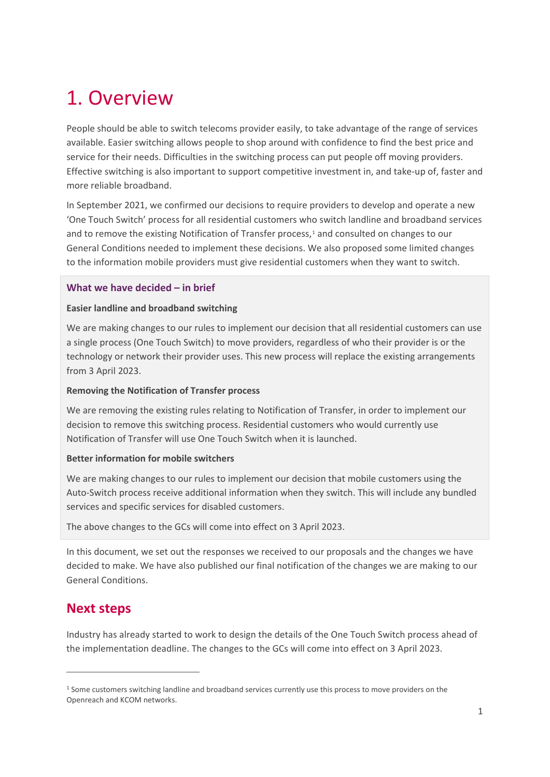# <span id="page-2-0"></span>1. Overview

People should be able to switch telecoms provider easily, to take advantage of the range of services available. Easier switching allows people to shop around with confidence to find the best price and service for their needs. Difficulties in the switching process can put people off moving providers. Effective switching is also important to support competitive investment in, and take-up of, faster and more reliable broadband.

In September 2021, we confirmed our decisions to require providers to develop and operate a new 'One Touch Switch' process for all residential customers who switch landline and broadband services and to remove the existing Notification of Transfer process,<sup>[1](#page-2-1)</sup> and consulted on changes to our General Conditions needed to implement these decisions. We also proposed some limited changes to the information mobile providers must give residential customers when they want to switch.

#### **What we have decided – in brief**

#### **Easier landline and broadband switching**

We are making changes to our rules to implement our decision that all residential customers can use a single process (One Touch Switch) to move providers, regardless of who their provider is or the technology or network their provider uses. This new process will replace the existing arrangements from 3 April 2023.

#### **Removing the Notification of Transfer process**

We are removing the existing rules relating to Notification of Transfer, in order to implement our decision to remove this switching process. Residential customers who would currently use Notification of Transfer will use One Touch Switch when it is launched.

#### **Better information for mobile switchers**

We are making changes to our rules to implement our decision that mobile customers using the Auto-Switch process receive additional information when they switch. This will include any bundled services and specific services for disabled customers.

The above changes to the GCs will come into effect on 3 April 2023.

In this document, we set out the responses we received to our proposals and the changes we have decided to make. We have also published our final notification of the changes we are making to our General Conditions.

# **Next steps**

Industry has already started to work to design the details of the One Touch Switch process ahead of the implementation deadline. The changes to the GCs will come into effect on 3 April 2023.

<span id="page-2-1"></span><sup>&</sup>lt;sup>1</sup> Some customers switching landline and broadband services currently use this process to move providers on the Openreach and KCOM networks.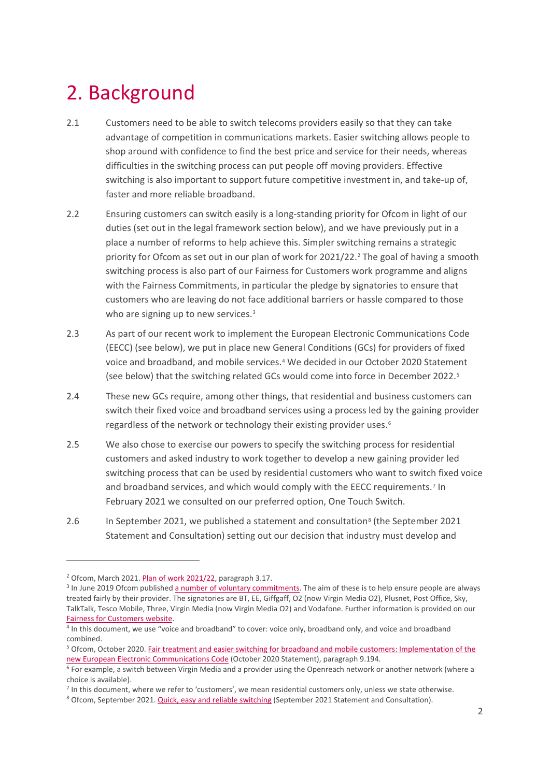# <span id="page-3-0"></span>2. Background

- 2.1 Customers need to be able to switch telecoms providers easily so that they can take advantage of competition in communications markets. Easier switching allows people to shop around with confidence to find the best price and service for their needs, whereas difficulties in the switching process can put people off moving providers. Effective switching is also important to support future competitive investment in, and take-up of, faster and more reliable broadband.
- 2.2 Ensuring customers can switch easily is a long-standing priority for Ofcom in light of our duties (set out in the legal framework section below), and we have previously put in a place a number of reforms to help achieve this. Simpler switching remains a strategic priority for Ofcom as set out in our plan of work for [2](#page-3-1)021/22.<sup>2</sup> The goal of having a smooth switching process is also part of our Fairness for Customers work programme and aligns with the Fairness Commitments, in particular the pledge by signatories to ensure that customers who are leaving do not face additional barriers or hassle compared to those who are signing up to new services.<sup>3</sup>
- 2.3 As part of our recent work to implement the European Electronic Communications Code (EECC) (see below), we put in place new General Conditions (GCs) for providers of fixed voice and broadband, and mobile services.[4](#page-3-3) We decided in our October 2020 Statement (see below) that the switching related GCs would come into force in December 2022.[5](#page-3-4)
- 2.4 These new GCs require, among other things, that residential and business customers can switch their fixed voice and broadband services using a process led by the gaining provider regardless of the network or technology their existing provider uses.<sup>[6](#page-3-5)</sup>
- 2.5 We also chose to exercise our powers to specify the switching process for residential customers and asked industry to work together to develop a new gaining provider led switching process that can be used by residential customers who want to switch fixed voice and broadband services, and which would comply with the EECC requirements.<sup>[7](#page-3-6)</sup> In February 2021 we consulted on our preferred option, One Touch Switch.
- 2.6 In September 2021, we published a statement and consultation<sup>[8](#page-3-7)</sup> (the September 2021 Statement and Consultation) setting out our decision that industry must develop and

<span id="page-3-2"></span><span id="page-3-1"></span><sup>&</sup>lt;sup>2</sup> Ofcom, March 2021[. Plan of work 2021/22,](https://www.ofcom.org.uk/__data/assets/pdf_file/0019/216640/statement-plan-of-work-202122.pdf) paragraph 3.17.<br><sup>3</sup> In June 2019 Ofcom publishe[d a number of voluntary commitments.](https://www.ofcom.org.uk/about-ofcom/latest/media/media-releases/2019/broadband-and-phone-firms-put-fairness-first) The aim of these is to help ensure people are always treated fairly by their provider. The signatories are BT, EE, Giffgaff, O2 (now Virgin Media O2), Plusnet, Post Office, Sky, TalkTalk, Tesco Mobile, Three, Virgin Media (now Virgin Media O2) and Vodafone. Further information is provided on our

<span id="page-3-3"></span>Fairness for Customers website.<br><sup>4</sup> In this document, we use "voice and broadband" to cover: voice only, broadband only, and voice and broadband combined.

<span id="page-3-4"></span><sup>5</sup> Ofcom, October 2020[. Fair treatment and easier switching for broadband and mobile customers: Implementation of the](https://www.ofcom.org.uk/__data/assets/pdf_file/0023/204980/statement-eecc-revised-proposals.pdf)  [new European Electronic Communications Code](https://www.ofcom.org.uk/__data/assets/pdf_file/0023/204980/statement-eecc-revised-proposals.pdf) (October 2020 Statement), paragraph 9.194.

<span id="page-3-5"></span><sup>&</sup>lt;sup>6</sup> For example, a switch between Virgin Media and a provider using the Openreach network or another network (where a choice is available).

<span id="page-3-6"></span> $7$  In this document, where we refer to 'customers', we mean residential customers only, unless we state otherwise.

<span id="page-3-7"></span><sup>8</sup> Ofcom, September 2021. [Quick, easy and reliable switching](https://www.ofcom.org.uk/__data/assets/pdf_file/0020/225632/statement-quick-easy-reliable-switching.pdf) (September 2021 Statement and Consultation).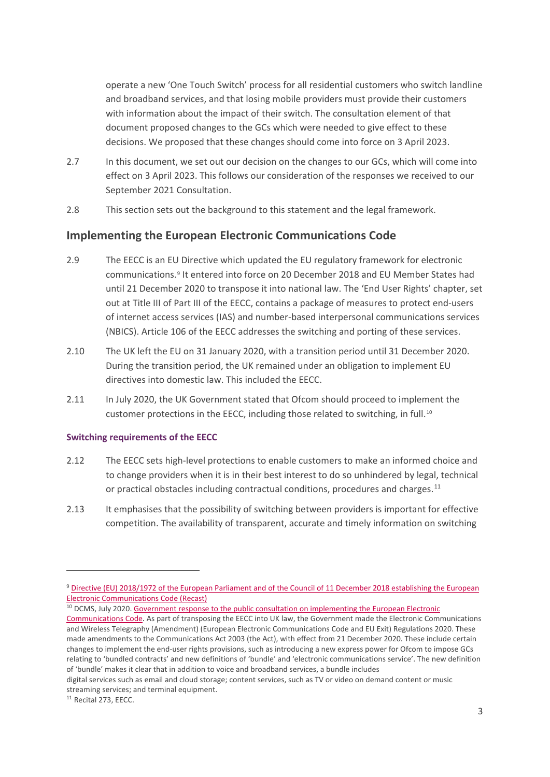operate a new 'One Touch Switch' process for all residential customers who switch landline and broadband services, and that losing mobile providers must provide their customers with information about the impact of their switch. The consultation element of that document proposed changes to the GCs which were needed to give effect to these decisions. We proposed that these changes should come into force on 3 April 2023.

- 2.7 In this document, we set out our decision on the changes to our GCs, which will come into effect on 3 April 2023. This follows our consideration of the responses we received to our September 2021 Consultation.
- 2.8 This section sets out the background to this statement and the legal framework.

# **Implementing the European Electronic Communications Code**

- 2.9 The EECC is an EU Directive which updated the EU regulatory framework for electronic communications.[9](#page-4-0) It entered into force on 20 December 2018 and EU Member States had until 21 December 2020 to transpose it into national law. The 'End User Rights' chapter, set out at Title III of Part III of the EECC, contains a package of measures to protect end-users of internet access services (IAS) and number-based interpersonal communications services (NBICS). Article 106 of the EECC addresses the switching and porting of these services.
- 2.10 The UK left the EU on 31 January 2020, with a transition period until 31 December 2020. During the transition period, the UK remained under an obligation to implement EU directives into domestic law. This included the EECC.
- 2.11 In July 2020, the UK Government stated that Ofcom should proceed to implement the customer protections in the EECC, including those related to switching, in full.<sup>10</sup>

#### **Switching requirements of the EECC**

- 2.12 The EECC sets high-level protections to enable customers to make an informed choice and to change providers when it is in their best interest to do so unhindered by legal, technical or practical obstacles including contractual conditions, procedures and charges. $^{11}$  $^{11}$  $^{11}$
- 2.13 It emphasises that the possibility of switching between providers is important for effective competition. The availability of transparent, accurate and timely information on switching

<span id="page-4-1"></span><sup>10</sup> DCMS, July 2020. Government response to the public consultation on implementing the European Electronic

<span id="page-4-0"></span><sup>9</sup> Directive (EU) 2018/1972 of the European Parliament and of the Council of 11 December 2018 establishing the European [Electronic Communications Code \(Recast\)](https://eur-lex.europa.eu/legal-content/EN/TXT/PDF/?uri=CELEX:32018L1972&from=EN)

[Communications Code.](https://assets.publishing.service.gov.uk/government/uploads/system/uploads/attachment_data/file/902879/Government_response_EECC.pdf) As part of transposing the EECC into UK law, the Government made the Electronic Communications and Wireless Telegraphy (Amendment) (European Electronic Communications Code and EU Exit) Regulations 2020. These made amendments to the Communications Act 2003 (the Act), with effect from 21 December 2020. These include certain changes to implement the end-user rights provisions, such as introducing a new express power for Ofcom to impose GCs relating to 'bundled contracts' and new definitions of 'bundle' and 'electronic communications service'. The new definition of 'bundle' makes it clear that in addition to voice and broadband services, a bundle includes

digital services such as email and cloud storage; content services, such as TV or video on demand content or music streaming services; and terminal equipment.

<span id="page-4-2"></span><sup>11</sup> Recital 273, EECC.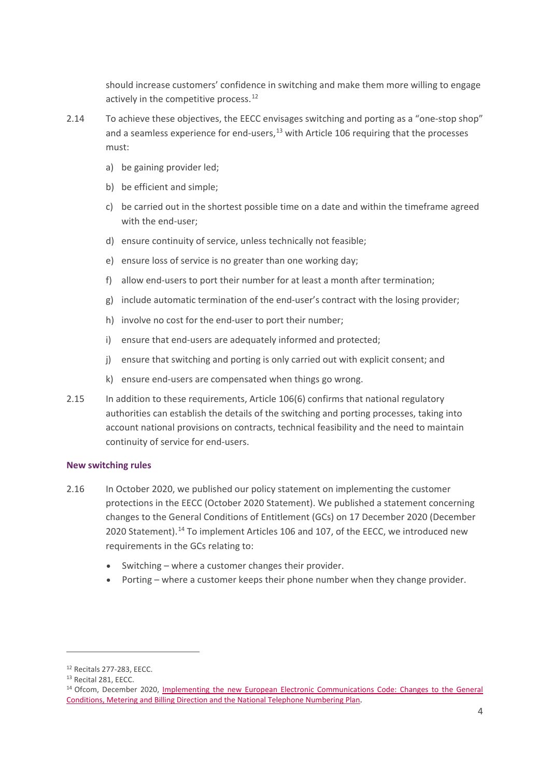should increase customers' confidence in switching and make them more willing to engage actively in the competitive process.<sup>[12](#page-5-0)</sup>

- 2.14 To achieve these objectives, the EECC envisages switching and porting as a "one-stop shop" and a seamless experience for end-users, $13$  with Article 106 requiring that the processes must:
	- a) be gaining provider led;
	- b) be efficient and simple;
	- c) be carried out in the shortest possible time on a date and within the timeframe agreed with the end-user;
	- d) ensure continuity of service, unless technically not feasible;
	- e) ensure loss of service is no greater than one working day;
	- f) allow end-users to port their number for at least a month after termination;
	- g) include automatic termination of the end-user's contract with the losing provider;
	- h) involve no cost for the end-user to port their number;
	- i) ensure that end-users are adequately informed and protected;
	- j) ensure that switching and porting is only carried out with explicit consent; and
	- k) ensure end-users are compensated when things go wrong.
- 2.15 In addition to these requirements, Article 106(6) confirms that national regulatory authorities can establish the details of the switching and porting processes, taking into account national provisions on contracts, technical feasibility and the need to maintain continuity of service for end-users.

#### **New switching rules**

- 2.16 In October 2020, we published our policy statement on implementing the customer protections in the EECC (October 2020 Statement). We published a statement concerning changes to the General Conditions of Entitlement (GCs) on 17 December 2020 (December 2020 Statement). $14$  To implement Articles 106 and 107, of the EECC, we introduced new requirements in the GCs relating to:
	- Switching where a customer changes their provider.
	- Porting where a customer keeps their phone number when they change provider.

<span id="page-5-0"></span> $12$  Recitals 277-283, EECC.<br> $13$  Recital 281, EECC.

<span id="page-5-1"></span>

<span id="page-5-2"></span><sup>&</sup>lt;sup>14</sup> Ofcom, December 2020, *Implementing the new European Electronic Communications Code: Changes to the General* [Conditions, Metering and Billing Direction and the National Telephone Numbering Plan.](https://www.ofcom.org.uk/__data/assets/pdf_file/0020/209504/eecc-statement-dec-20.pdf)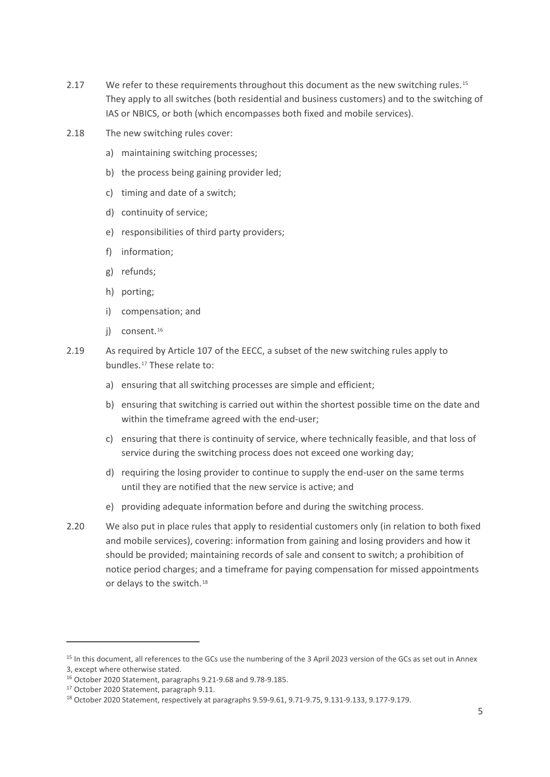- 2.17 We refer to these requirements throughout this document as the new switching rules.<sup>[15](#page-6-0)</sup> They apply to all switches (both residential and business customers) and to the switching of IAS or NBICS, or both (which encompasses both fixed and mobile services).
- 2.18 The new switching rules cover:
	- a) maintaining switching processes;
	- b) the process being gaining provider led;
	- c) timing and date of a switch;
	- d) continuity of service;
	- e) responsibilities of third party providers;
	- f) information;
	- g) refunds;
	- h) porting;
	- i) compensation; and
	- i) consent.<sup>[16](#page-6-1)</sup>
- 2.19 As required by Article 107 of the EECC, a subset of the new switching rules apply to bundles.[17](#page-6-2) These relate to:
	- a) ensuring that all switching processes are simple and efficient;
	- b) ensuring that switching is carried out within the shortest possible time on the date and within the timeframe agreed with the end-user;
	- c) ensuring that there is continuity of service, where technically feasible, and that loss of service during the switching process does not exceed one working day;
	- d) requiring the losing provider to continue to supply the end-user on the same terms until they are notified that the new service is active; and
	- e) providing adequate information before and during the switching process.
- 2.20 We also put in place rules that apply to residential customers only (in relation to both fixed and mobile services), covering: information from gaining and losing providers and how it should be provided; maintaining records of sale and consent to switch; a prohibition of notice period charges; and a timeframe for paying compensation for missed appointments or delays to the switch.<sup>[18](#page-6-3)</sup>

<span id="page-6-0"></span><sup>&</sup>lt;sup>15</sup> In this document, all references to the GCs use the numbering of the 3 April 2023 version of the GCs as set out in Annex 3, except where otherwise stated.

<span id="page-6-1"></span><sup>16</sup> October 2020 Statement, paragraphs 9.21-9.68 and 9.78-9.185.

<span id="page-6-3"></span><span id="page-6-2"></span><sup>&</sup>lt;sup>17</sup> October 2020 Statement, paragraph 9.11.<br><sup>18</sup> October 2020 Statement, respectively at paragraphs 9.59-9.61, 9.71-9.75, 9.131-9.133, 9.177-9.179.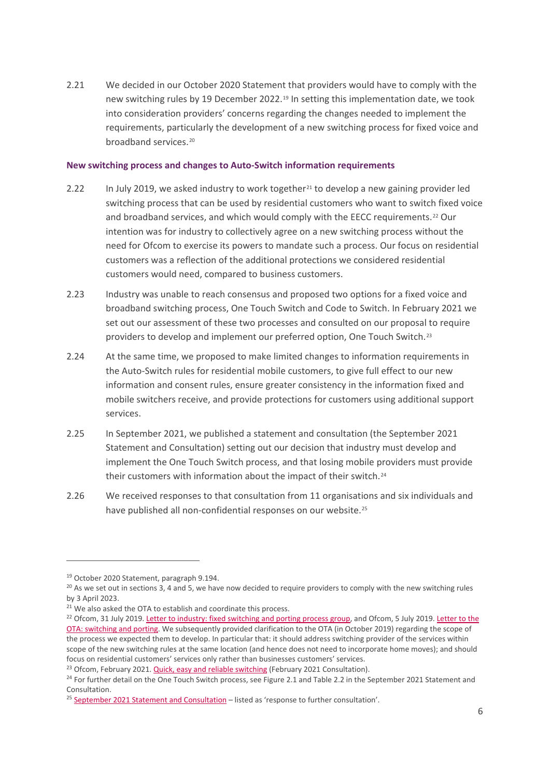2.21 We decided in our October 2020 Statement that providers would have to comply with the new switching rules by 19 December 2022.[19](#page-7-0) In setting this implementation date, we took into consideration providers' concerns regarding the changes needed to implement the requirements, particularly the development of a new switching process for fixed voice and broadband services.<sup>[20](#page-7-1)</sup>

#### **New switching process and changes to Auto-Switch information requirements**

- 2.22 In July 2019, we asked industry to work together<sup>[21](#page-7-2)</sup> to develop a new gaining provider led switching process that can be used by residential customers who want to switch fixed voice and broadband services, and which would comply with the EECC requirements.<sup>[22](#page-7-3)</sup> Our intention was for industry to collectively agree on a new switching process without the need for Ofcom to exercise its powers to mandate such a process. Our focus on residential customers was a reflection of the additional protections we considered residential customers would need, compared to business customers.
- 2.23 Industry was unable to reach consensus and proposed two options for a fixed voice and broadband switching process, One Touch Switch and Code to Switch. In February 2021 we set out our assessment of these two processes and consulted on our proposal to require providers to develop and implement our preferred option, One Touch Switch.<sup>[23](#page-7-4)</sup>
- 2.24 At the same time, we proposed to make limited changes to information requirements in the Auto-Switch rules for residential mobile customers, to give full effect to our new information and consent rules, ensure greater consistency in the information fixed and mobile switchers receive, and provide protections for customers using additional support services.
- 2.25 In September 2021, we published a statement and consultation (the September 2021 Statement and Consultation) setting out our decision that industry must develop and implement the One Touch Switch process, and that losing mobile providers must provide their customers with information about the impact of their switch.<sup>[24](#page-7-5)</sup>
- 2.26 We received responses to that consultation from 11 organisations and six individuals and have published all non-confidential responses on our website.<sup>[25](#page-7-6)</sup>

<span id="page-7-1"></span><span id="page-7-0"></span><sup>&</sup>lt;sup>19</sup> October 2020 Statement, paragraph 9.194.<br><sup>20</sup> As we set out in sections 3, 4 and 5, we have now decided to require providers to comply with the new switching rules by 3 April 2023.

<span id="page-7-2"></span><sup>&</sup>lt;sup>21</sup> We also asked the OTA to establish and coordinate this process.

<span id="page-7-3"></span><sup>&</sup>lt;sup>22</sup> Ofcom, 31 July 2019[. Letter to industry: fixed switching and porting process group,](https://www.ofcom.org.uk/__data/assets/pdf_file/0017/212615/letter-ota-switching-working-group.pdf) and Ofcom, 5 July 2019. Letter to the [OTA: switching and porting.](https://www.ofcom.org.uk/__data/assets/pdf_file/0016/212614/letter-ota-eecc-switching.pdf) We subsequently provided clarification to the OTA (in October 2019) regarding the scope of the process we expected them to develop. In particular that: it should address switching provider of the services within scope of the new switching rules at the same location (and hence does not need to incorporate home moves); and should focus on residential customers' services only rather than businesses customers' services.

<span id="page-7-4"></span><sup>&</sup>lt;sup>23</sup> Ofcom, February 2021[. Quick, easy and reliable switching](https://www.ofcom.org.uk/__data/assets/pdf_file/0024/212685/consultation-quick-easy-and-reliable-switching.pdf) (February 2021 Consultation).

<span id="page-7-5"></span><sup>&</sup>lt;sup>24</sup> For further detail on the One Touch Switch process, see Figure 2.1 and Table 2.2 in the September 2021 Statement and Consultation.

<span id="page-7-6"></span> $25$  September [2021 Statement and Consultation](https://www.ofcom.org.uk/consultations-and-statements/category-2/simpler-broadband-switching) – listed as 'response to further consultation'.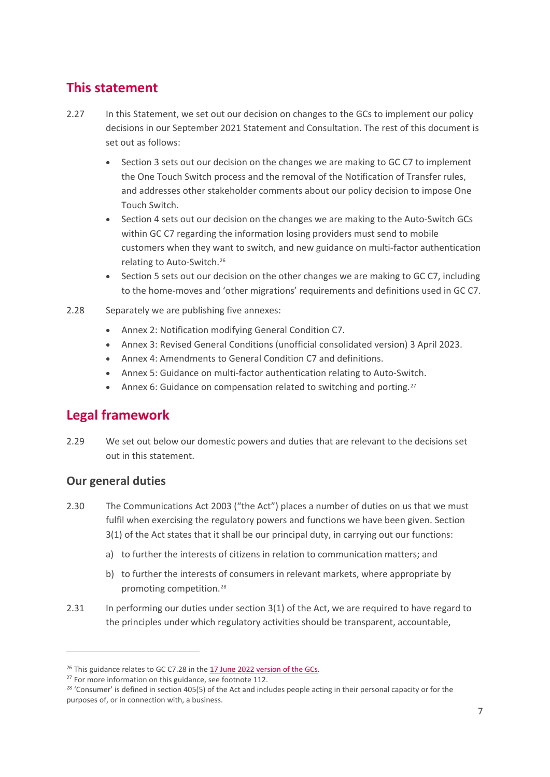# **This statement**

- 2.27 In this Statement, we set out our decision on changes to the GCs to implement our policy decisions in our September 2021 Statement and Consultation. The rest of this document is set out as follows:
	- Section 3 sets out our decision on the changes we are making to GC C7 to implement the One Touch Switch process and the removal of the Notification of Transfer rules, and addresses other stakeholder comments about our policy decision to impose One Touch Switch.
	- Section 4 sets out our decision on the changes we are making to the Auto-Switch GCs within GC C7 regarding the information losing providers must send to mobile customers when they want to switch, and new guidance on multi-factor authentication relating to Auto-Switch.[26](#page-8-0)
	- Section 5 sets out our decision on the other changes we are making to GC C7, including to the home-moves and 'other migrations' requirements and definitions used in GC C7.
- 2.28 Separately we are publishing five annexes:
	- Annex 2: Notification modifying General Condition C7.
	- Annex 3: Revised General Conditions (unofficial consolidated version) 3 April 2023.
	- Annex 4: Amendments to General Condition C7 and definitions.
	- Annex 5: Guidance on multi-factor authentication relating to Auto-Switch.
	- Annex 6: Guidance on compensation related to switching and porting.<sup>[27](#page-8-1)</sup>

# **Legal framework**

2.29 We set out below our domestic powers and duties that are relevant to the decisions set out in this statement.

# **Our general duties**

- 2.30 The Communications Act 2003 ("the Act") places a number of duties on us that we must fulfil when exercising the regulatory powers and functions we have been given. Section 3(1) of the Act states that it shall be our principal duty, in carrying out our functions:
	- a) to further the interests of citizens in relation to communication matters; and
	- b) to further the interests of consumers in relevant markets, where appropriate by promoting competition.[28](#page-8-2)
- 2.31 In performing our duties under section 3(1) of the Act, we are required to have regard to the principles under which regulatory activities should be transparent, accountable,

<span id="page-8-0"></span><sup>&</sup>lt;sup>26</sup> This guidance relates to GC C7.28 in th[e 17 June 2022 version of the GCs.](https://www.ofcom.org.uk/__data/assets/pdf_file/0017/209501/annex-4-revised-gc-eecc-17-jun-22.pdf)

<span id="page-8-1"></span><sup>&</sup>lt;sup>27</sup> For more information on this guidance, see footnote 112.

<span id="page-8-2"></span><sup>&</sup>lt;sup>28</sup> 'Consumer' is defined in section 405(5) of the Act and includes people acting in their personal capacity or for the purposes of, or in connection with, a business.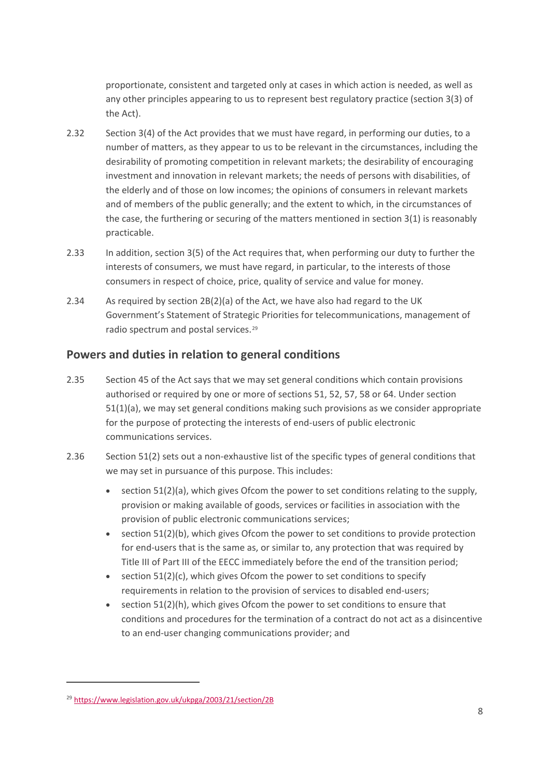proportionate, consistent and targeted only at cases in which action is needed, as well as any other principles appearing to us to represent best regulatory practice (section 3(3) of the Act).

- 2.32 Section 3(4) of the Act provides that we must have regard, in performing our duties, to a number of matters, as they appear to us to be relevant in the circumstances, including the desirability of promoting competition in relevant markets; the desirability of encouraging investment and innovation in relevant markets; the needs of persons with disabilities, of the elderly and of those on low incomes; the opinions of consumers in relevant markets and of members of the public generally; and the extent to which, in the circumstances of the case, the furthering or securing of the matters mentioned in section 3(1) is reasonably practicable.
- 2.33 In addition, section 3(5) of the Act requires that, when performing our duty to further the interests of consumers, we must have regard, in particular, to the interests of those consumers in respect of choice, price, quality of service and value for money.
- 2.34 As required by section 2B(2)(a) of the Act, we have also had regard to the UK Government's Statement of Strategic Priorities for telecommunications, management of radio spectrum and postal services.[29](#page-9-0)

# **Powers and duties in relation to general conditions**

- 2.35 Section 45 of the Act says that we may set general conditions which contain provisions authorised or required by one or more of sections 51, 52, 57, 58 or 64. Under section 51(1)(a), we may set general conditions making such provisions as we consider appropriate for the purpose of protecting the interests of end-users of public electronic communications services.
- 2.36 Section 51(2) sets out a non-exhaustive list of the specific types of general conditions that we may set in pursuance of this purpose. This includes:
	- section 51(2)(a), which gives Ofcom the power to set conditions relating to the supply, provision or making available of goods, services or facilities in association with the provision of public electronic communications services;
	- $\bullet$  section 51(2)(b), which gives Ofcom the power to set conditions to provide protection for end-users that is the same as, or similar to, any protection that was required by Title III of Part III of the EECC immediately before the end of the transition period;
	- section 51(2)(c), which gives Ofcom the power to set conditions to specify requirements in relation to the provision of services to disabled end-users;
	- section 51(2)(h), which gives Ofcom the power to set conditions to ensure that conditions and procedures for the termination of a contract do not act as a disincentive to an end-user changing communications provider; and

<span id="page-9-0"></span><sup>29</sup> <https://www.legislation.gov.uk/ukpga/2003/21/section/2B>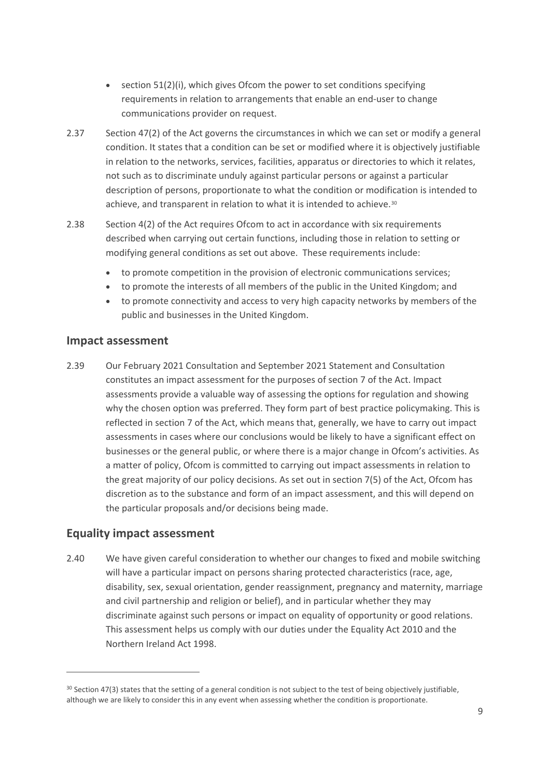- section 51(2)(i), which gives Ofcom the power to set conditions specifying requirements in relation to arrangements that enable an end-user to change communications provider on request.
- 2.37 Section 47(2) of the Act governs the circumstances in which we can set or modify a general condition. It states that a condition can be set or modified where it is objectively justifiable in relation to the networks, services, facilities, apparatus or directories to which it relates, not such as to discriminate unduly against particular persons or against a particular description of persons, proportionate to what the condition or modification is intended to achieve, and transparent in relation to what it is intended to achieve.<sup>[30](#page-10-0)</sup>
- 2.38 Section 4(2) of the Act requires Ofcom to act in accordance with six requirements described when carrying out certain functions, including those in relation to setting or modifying general conditions as set out above. These requirements include:
	- to promote competition in the provision of electronic communications services;
	- to promote the interests of all members of the public in the United Kingdom; and
	- to promote connectivity and access to very high capacity networks by members of the public and businesses in the United Kingdom.

#### **Impact assessment**

2.39 Our February 2021 Consultation and September 2021 Statement and Consultation constitutes an impact assessment for the purposes of section 7 of the Act. Impact assessments provide a valuable way of assessing the options for regulation and showing why the chosen option was preferred. They form part of best practice policymaking. This is reflected in section 7 of the Act, which means that, generally, we have to carry out impact assessments in cases where our conclusions would be likely to have a significant effect on businesses or the general public, or where there is a major change in Ofcom's activities. As a matter of policy, Ofcom is committed to carrying out impact assessments in relation to the great majority of our policy decisions. As set out in section 7(5) of the Act, Ofcom has discretion as to the substance and form of an impact assessment, and this will depend on the particular proposals and/or decisions being made.

#### **Equality impact assessment**

2.40 We have given careful consideration to whether our changes to fixed and mobile switching will have a particular impact on persons sharing protected characteristics (race, age, disability, sex, sexual orientation, gender reassignment, pregnancy and maternity, marriage and civil partnership and religion or belief), and in particular whether they may discriminate against such persons or impact on equality of opportunity or good relations. This assessment helps us comply with our duties under the Equality Act 2010 and the Northern Ireland Act 1998.

<span id="page-10-0"></span> $30$  Section 47(3) states that the setting of a general condition is not subject to the test of being objectively justifiable, although we are likely to consider this in any event when assessing whether the condition is proportionate.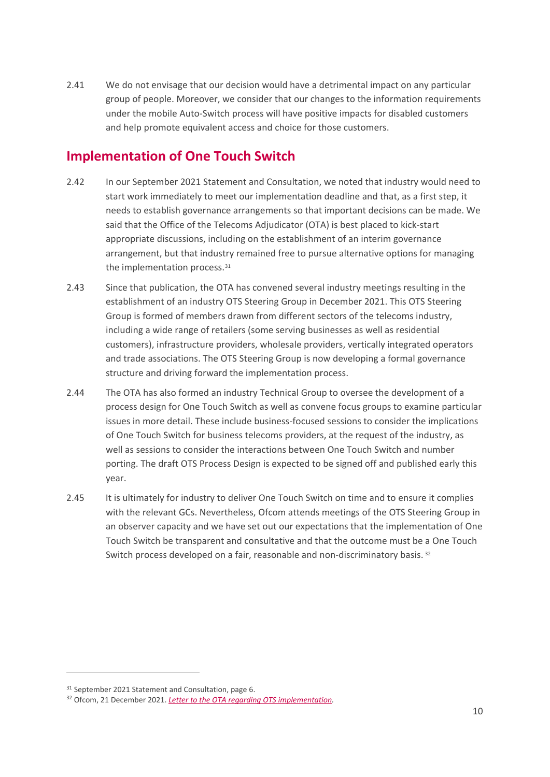2.41 We do not envisage that our decision would have a detrimental impact on any particular group of people. Moreover, we consider that our changes to the information requirements under the mobile Auto-Switch process will have positive impacts for disabled customers and help promote equivalent access and choice for those customers.

# **Implementation of One Touch Switch**

- 2.42 In our September 2021 Statement and Consultation, we noted that industry would need to start work immediately to meet our implementation deadline and that, as a first step, it needs to establish governance arrangements so that important decisions can be made. We said that the Office of the Telecoms Adjudicator (OTA) is best placed to kick-start appropriate discussions, including on the establishment of an interim governance arrangement, but that industry remained free to pursue alternative options for managing the implementation process.<sup>[31](#page-11-0)</sup>
- 2.43 Since that publication, the OTA has convened several industry meetings resulting in the establishment of an industry OTS Steering Group in December 2021. This OTS Steering Group is formed of members drawn from different sectors of the telecoms industry, including a wide range of retailers (some serving businesses as well as residential customers), infrastructure providers, wholesale providers, vertically integrated operators and trade associations. The OTS Steering Group is now developing a formal governance structure and driving forward the implementation process.
- 2.44 The OTA has also formed an industry Technical Group to oversee the development of a process design for One Touch Switch as well as convene focus groups to examine particular issues in more detail. These include business-focused sessions to consider the implications of One Touch Switch for business telecoms providers, at the request of the industry, as well as sessions to consider the interactions between One Touch Switch and number porting. The draft OTS Process Design is expected to be signed off and published early this year.
- 2.45 It is ultimately for industry to deliver One Touch Switch on time and to ensure it complies with the relevant GCs. Nevertheless, Ofcom attends meetings of the OTS Steering Group in an observer capacity and we have set out our expectations that the implementation of One Touch Switch be transparent and consultative and that the outcome must be a One Touch Switch process developed on a fair, reasonable and non-discriminatory basis. <sup>[32](#page-11-1)</sup>

<span id="page-11-0"></span><sup>&</sup>lt;sup>31</sup> September 2021 Statement and Consultation, page 6.

<span id="page-11-1"></span><sup>32</sup> Ofcom, 21 December 2021. *[Letter to the OTA regarding OTS implementation.](https://www.ofcom.org.uk/__data/assets/pdf_file/0014/231170/Letter-to-the-OTA-One-Touch-Switch-implementation.pdf)*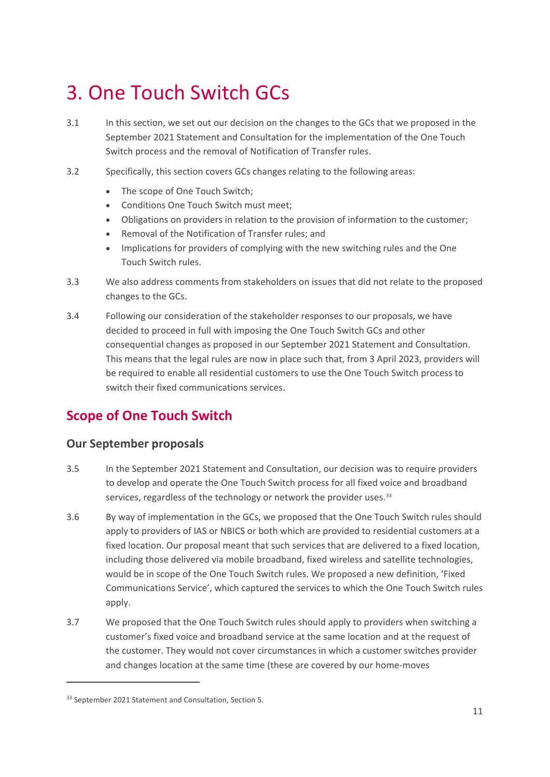# <span id="page-12-0"></span>3. One Touch Switch GCs

- 3.1 In this section, we set out our decision on the changes to the GCs that we proposed in the September 2021 Statement and Consultation for the implementation of the One Touch Switch process and the removal of Notification of Transfer rules.
- 3.2 Specifically, this section covers GCs changes relating to the following areas:
	- The scope of One Touch Switch;
	- Conditions One Touch Switch must meet;
	- Obligations on providers in relation to the provision of information to the customer;
	- Removal of the Notification of Transfer rules; and
	- Implications for providers of complying with the new switching rules and the One Touch Switch rules.
- 3.3 We also address comments from stakeholders on issues that did not relate to the proposed changes to the GCs.
- 3.4 Following our consideration of the stakeholder responses to our proposals, we have decided to proceed in full with imposing the One Touch Switch GCs and other consequential changes as proposed in our September 2021 Statement and Consultation. This means that the legal rules are now in place such that, from 3 April 2023, providers will be required to enable all residential customers to use the One Touch Switch process to switch their fixed communications services.

# **Scope of One Touch Switch**

# **Our September proposals**

- 3.5 In the September 2021 Statement and Consultation, our decision was to require providers to develop and operate the One Touch Switch process for all fixed voice and broadband services, regardless of the technology or network the provider uses.<sup>[33](#page-12-1)</sup>
- 3.6 By way of implementation in the GCs, we proposed that the One Touch Switch rules should apply to providers of IAS or NBICS or both which are provided to residential customers at a fixed location. Our proposal meant that such services that are delivered to a fixed location, including those delivered via mobile broadband, fixed wireless and satellite technologies, would be in scope of the One Touch Switch rules. We proposed a new definition, 'Fixed Communications Service', which captured the services to which the One Touch Switch rules apply.
- 3.7 We proposed that the One Touch Switch rules should apply to providers when switching a customer's fixed voice and broadband service at the same location and at the request of the customer. They would not cover circumstances in which a customer switches provider and changes location at the same time (these are covered by our home-moves

<span id="page-12-1"></span><sup>33</sup> September 2021 Statement and Consultation, Section 5.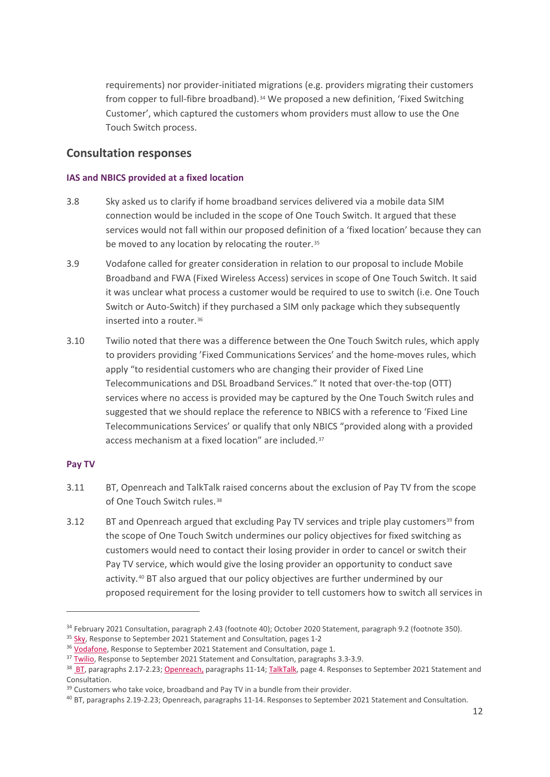requirements) nor provider-initiated migrations (e.g. providers migrating their customers from copper to full-fibre broadband).[34](#page-13-0) We proposed a new definition, 'Fixed Switching Customer', which captured the customers whom providers must allow to use the One Touch Switch process.

### **Consultation responses**

#### **IAS and NBICS provided at a fixed location**

- 3.8 Sky asked us to clarify if home broadband services delivered via a mobile data SIM connection would be included in the scope of One Touch Switch. It argued that these services would not fall within our proposed definition of a 'fixed location' because they can be moved to any location by relocating the router.<sup>[35](#page-13-1)</sup>
- 3.9 Vodafone called for greater consideration in relation to our proposal to include Mobile Broadband and FWA (Fixed Wireless Access) services in scope of One Touch Switch. It said it was unclear what process a customer would be required to use to switch (i.e. One Touch Switch or Auto-Switch) if they purchased a SIM only package which they subsequently inserted into a router.<sup>[36](#page-13-2)</sup>
- 3.10 Twilio noted that there was a difference between the One Touch Switch rules, which apply to providers providing 'Fixed Communications Services' and the home-moves rules, which apply "to residential customers who are changing their provider of Fixed Line Telecommunications and DSL Broadband Services." It noted that over-the-top (OTT) services where no access is provided may be captured by the One Touch Switch rules and suggested that we should replace the reference to NBICS with a reference to 'Fixed Line Telecommunications Services' or qualify that only NBICS "provided along with a provided access mechanism at a fixed location" are included.[37](#page-13-3)

#### **Pay TV**

- 3.11 BT, Openreach and TalkTalk raised concerns about the exclusion of Pay TV from the scope of One Touch Switch rules.<sup>[38](#page-13-4)</sup>
- 3.12 BT and Openreach argued that excluding Pay TV services and triple play customers<sup>[39](#page-13-5)</sup> from the scope of One Touch Switch undermines our policy objectives for fixed switching as customers would need to contact their losing provider in order to cancel or switch their Pay TV service, which would give the losing provider an opportunity to conduct save activity.<sup>[40](#page-13-6)</sup> BT also argued that our policy objectives are further undermined by our proposed requirement for the losing provider to tell customers how to switch all services in

<span id="page-13-0"></span><sup>&</sup>lt;sup>34</sup> February 2021 Consultation, paragraph 2.43 (footnote 40); October 2020 Statement, paragraph 9.2 (footnote 350).

<span id="page-13-1"></span><sup>&</sup>lt;sup>35</sup> [Sky,](https://www.ofcom.org.uk/__data/assets/pdf_file/0028/228943/further-consultation-sky.pdf) Response to September 2021 Statement and Consultation, pages 1-2

<span id="page-13-2"></span><sup>&</sup>lt;sup>36</sup> [Vodafone,](https://www.ofcom.org.uk/__data/assets/pdf_file/0033/228948/further-consultation-vodafone.pdf) Response to September 2021 Statement and Consultation, page 1.

<span id="page-13-3"></span><sup>&</sup>lt;sup>37</sup> [Twilio,](https://www.ofcom.org.uk/__data/assets/pdf_file/0031/228946/further-consultation-twilio.pdf) Response to September 2021 Statement and Consultation, paragraphs 3.3-3.9.

<span id="page-13-4"></span><sup>38</sup> [BT,](https://www.ofcom.org.uk/__data/assets/pdf_file/0029/228935/further-consultation-bt.pdf) paragraphs 2.17-2.23[; Openreach,](https://www.ofcom.org.uk/__data/assets/pdf_file/0026/228941/further-consultation-openreach.pdf) paragraphs 11-14[; TalkTalk,](https://www.ofcom.org.uk/__data/assets/pdf_file/0029/228944/further-consultation-talktalk.pdf) page 4. Responses to September 2021 Statement and Consultation.

<span id="page-13-5"></span><sup>&</sup>lt;sup>39</sup> Customers who take voice, broadband and Pay TV in a bundle from their provider.

<span id="page-13-6"></span><sup>40</sup> BT, paragraphs 2.19-2.23; Openreach, paragraphs 11-14. Responses to September 2021 Statement and Consultation.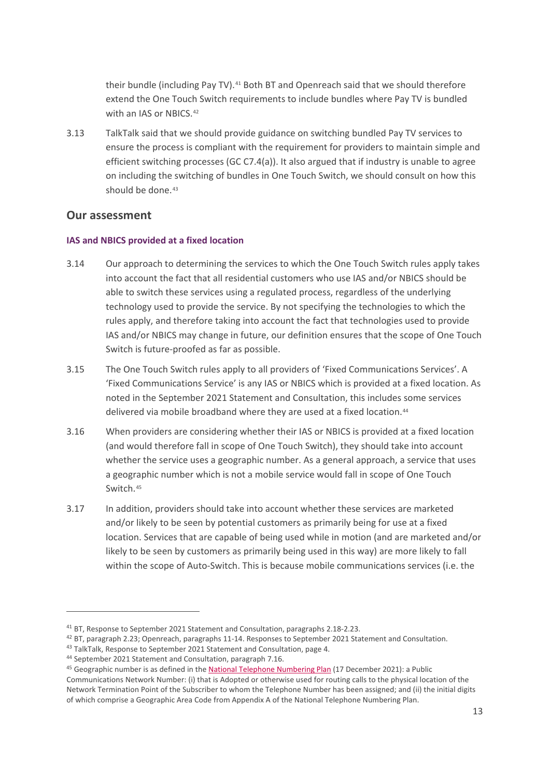their bundle (including Pay TV).[41](#page-14-0) Both BT and Openreach said that we should therefore extend the One Touch Switch requirements to include bundles where Pay TV is bundled with an IAS or NBICS.<sup>[42](#page-14-1)</sup>

3.13 TalkTalk said that we should provide guidance on switching bundled Pay TV services to ensure the process is compliant with the requirement for providers to maintain simple and efficient switching processes (GC C7.4(a)). It also argued that if industry is unable to agree on including the switching of bundles in One Touch Switch, we should consult on how this should be done.<sup>[43](#page-14-2)</sup>

### **Our assessment**

#### **IAS and NBICS provided at a fixed location**

- 3.14 Our approach to determining the services to which the One Touch Switch rules apply takes into account the fact that all residential customers who use IAS and/or NBICS should be able to switch these services using a regulated process, regardless of the underlying technology used to provide the service. By not specifying the technologies to which the rules apply, and therefore taking into account the fact that technologies used to provide IAS and/or NBICS may change in future, our definition ensures that the scope of One Touch Switch is future-proofed as far as possible.
- 3.15 The One Touch Switch rules apply to all providers of 'Fixed Communications Services'. A 'Fixed Communications Service' is any IAS or NBICS which is provided at a fixed location. As noted in the September 2021 Statement and Consultation, this includes some services delivered via mobile broadband where they are used at a fixed location.<sup>[44](#page-14-3)</sup>
- 3.16 When providers are considering whether their IAS or NBICS is provided at a fixed location (and would therefore fall in scope of One Touch Switch), they should take into account whether the service uses a geographic number. As a general approach, a service that uses a geographic number which is not a mobile service would fall in scope of One Touch Switch.[45](#page-14-4)
- 3.17 In addition, providers should take into account whether these services are marketed and/or likely to be seen by potential customers as primarily being for use at a fixed location. Services that are capable of being used while in motion (and are marketed and/or likely to be seen by customers as primarily being used in this way) are more likely to fall within the scope of Auto-Switch. This is because mobile communications services (i.e. the

<span id="page-14-0"></span><sup>41</sup> BT, Response to September 2021 Statement and Consultation, paragraphs 2.18-2.23.

<span id="page-14-1"></span><sup>42</sup> BT, paragraph 2.23; Openreach, paragraphs 11-14. Responses to September 2021 Statement and Consultation.

<span id="page-14-2"></span><sup>&</sup>lt;sup>43</sup> TalkTalk, Response to September 2021 Statement and Consultation, page 4.

<span id="page-14-3"></span><sup>44</sup> September 2021 Statement and Consultation, paragraph 7.16.

<span id="page-14-4"></span><sup>&</sup>lt;sup>45</sup> Geographic number is as defined in the **National Telephone Numbering Plan** (17 December 2021): a Public Communications Network Number: (i) that is Adopted or otherwise used for routing calls to the physical location of the Network Termination Point of the Subscriber to whom the Telephone Number has been assigned; and (ii) the initial digits of which comprise a Geographic Area Code from Appendix A of the National Telephone Numbering Plan.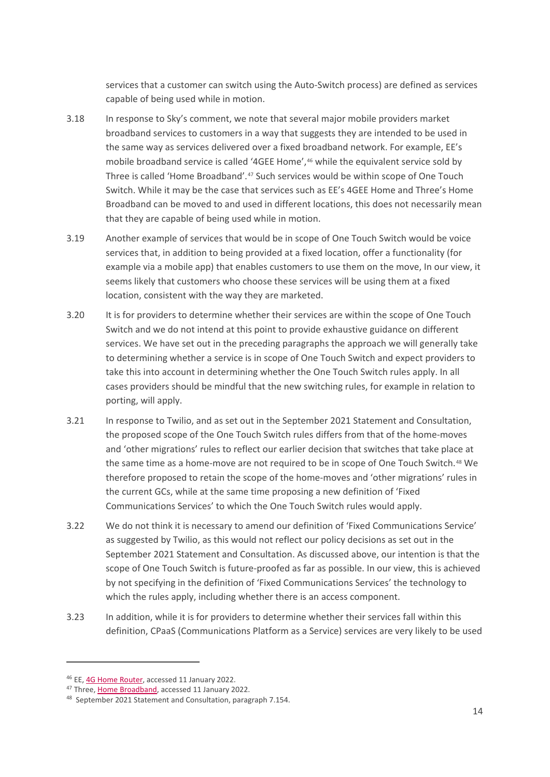services that a customer can switch using the Auto-Switch process) are defined as services capable of being used while in motion.

- 3.18 In response to Sky's comment, we note that several major mobile providers market broadband services to customers in a way that suggests they are intended to be used in the same way as services delivered over a fixed broadband network. For example, EE's mobile broadband service is called '4GEE Home', <sup>[46](#page-15-0)</sup> while the equivalent service sold by Three is called 'Home Broadband'.[47](#page-15-1) Such services would be within scope of One Touch Switch. While it may be the case that services such as EE's 4GEE Home and Three's Home Broadband can be moved to and used in different locations, this does not necessarily mean that they are capable of being used while in motion.
- 3.19 Another example of services that would be in scope of One Touch Switch would be voice services that, in addition to being provided at a fixed location, offer a functionality (for example via a mobile app) that enables customers to use them on the move, In our view, it seems likely that customers who choose these services will be using them at a fixed location, consistent with the way they are marketed.
- 3.20 It is for providers to determine whether their services are within the scope of One Touch Switch and we do not intend at this point to provide exhaustive guidance on different services. We have set out in the preceding paragraphs the approach we will generally take to determining whether a service is in scope of One Touch Switch and expect providers to take this into account in determining whether the One Touch Switch rules apply. In all cases providers should be mindful that the new switching rules, for example in relation to porting, will apply.
- 3.21 In response to Twilio, and as set out in the September 2021 Statement and Consultation, the proposed scope of the One Touch Switch rules differs from that of the home-moves and 'other migrations' rules to reflect our earlier decision that switches that take place at the same time as a home-move are not required to be in scope of One Touch Switch.[48](#page-15-2) We therefore proposed to retain the scope of the home-moves and 'other migrations' rules in the current GCs, while at the same time proposing a new definition of 'Fixed Communications Services' to which the One Touch Switch rules would apply.
- 3.22 We do not think it is necessary to amend our definition of 'Fixed Communications Service' as suggested by Twilio, as this would not reflect our policy decisions as set out in the September 2021 Statement and Consultation. As discussed above, our intention is that the scope of One Touch Switch is future-proofed as far as possible. In our view, this is achieved by not specifying in the definition of 'Fixed Communications Services' the technology to which the rules apply, including whether there is an access component.
- 3.23 In addition, while it is for providers to determine whether their services fall within this definition, CPaaS (Communications Platform as a Service) services are very likely to be used

<span id="page-15-0"></span><sup>46</sup> EE[, 4G Home Router,](https://shop.ee.co.uk/dongles/pay-monthly-mobile-broadband/4gee-router/details) accessed 11 January 2022.

<span id="page-15-2"></span><span id="page-15-1"></span><sup>&</sup>lt;sup>47</sup> Three[, Home Broadband,](http://www.three.co.uk/store/broadband/home-broadband) accessed 11 January 2022.

<sup>48</sup> September 2021 Statement and Consultation, paragraph 7.154.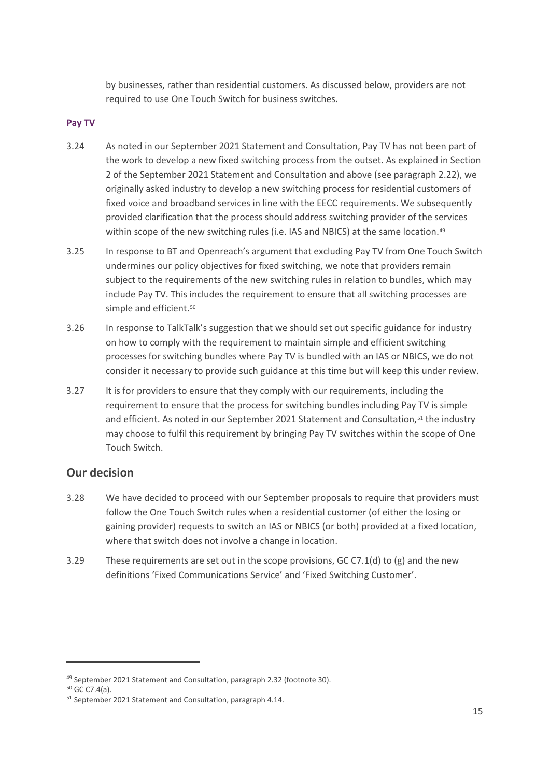by businesses, rather than residential customers. As discussed below, providers are not required to use One Touch Switch for business switches.

#### **Pay TV**

- 3.24 As noted in our September 2021 Statement and Consultation, Pay TV has not been part of the work to develop a new fixed switching process from the outset. As explained in Section 2 of the September 2021 Statement and Consultation and above (see paragraph 2.22), we originally asked industry to develop a new switching process for residential customers of fixed voice and broadband services in line with the EECC requirements. We subsequently provided clarification that the process should address switching provider of the services within scope of the new switching rules (i.e. IAS and NBICS) at the same location.<sup>[49](#page-16-0)</sup>
- 3.25 In response to BT and Openreach's argument that excluding Pay TV from One Touch Switch undermines our policy objectives for fixed switching, we note that providers remain subject to the requirements of the new switching rules in relation to bundles, which may include Pay TV. This includes the requirement to ensure that all switching processes are simple and efficient.<sup>[50](#page-16-1)</sup>
- 3.26 In response to TalkTalk's suggestion that we should set out specific guidance for industry on how to comply with the requirement to maintain simple and efficient switching processes for switching bundles where Pay TV is bundled with an IAS or NBICS, we do not consider it necessary to provide such guidance at this time but will keep this under review.
- 3.27 It is for providers to ensure that they comply with our requirements, including the requirement to ensure that the process for switching bundles including Pay TV is simple and efficient. As noted in our September 2021 Statement and Consultation,<sup>[51](#page-16-2)</sup> the industry may choose to fulfil this requirement by bringing Pay TV switches within the scope of One Touch Switch.

# **Our decision**

- 3.28 We have decided to proceed with our September proposals to require that providers must follow the One Touch Switch rules when a residential customer (of either the losing or gaining provider) requests to switch an IAS or NBICS (or both) provided at a fixed location, where that switch does not involve a change in location.
- 3.29 These requirements are set out in the scope provisions, GC C7.1(d) to (g) and the new definitions 'Fixed Communications Service' and 'Fixed Switching Customer'.

<span id="page-16-0"></span><sup>49</sup> September 2021 Statement and Consultation, paragraph 2.32 (footnote 30).

<span id="page-16-1"></span><sup>50</sup> GC C7.4(a).

<span id="page-16-2"></span><sup>51</sup> September 2021 Statement and Consultation, paragraph 4.14.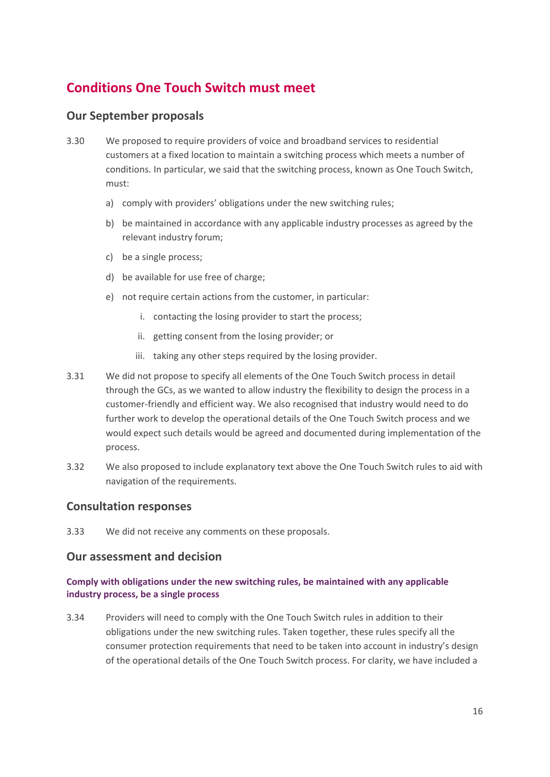# **Conditions One Touch Switch must meet**

# **Our September proposals**

- 3.30 We proposed to require providers of voice and broadband services to residential customers at a fixed location to maintain a switching process which meets a number of conditions. In particular, we said that the switching process, known as One Touch Switch, must:
	- a) comply with providers' obligations under the new switching rules;
	- b) be maintained in accordance with any applicable industry processes as agreed by the relevant industry forum;
	- c) be a single process;
	- d) be available for use free of charge;
	- e) not require certain actions from the customer, in particular:
		- i. contacting the losing provider to start the process;
		- ii. getting consent from the losing provider; or
		- iii. taking any other steps required by the losing provider.
- 3.31 We did not propose to specify all elements of the One Touch Switch process in detail through the GCs, as we wanted to allow industry the flexibility to design the process in a customer-friendly and efficient way. We also recognised that industry would need to do further work to develop the operational details of the One Touch Switch process and we would expect such details would be agreed and documented during implementation of the process.
- 3.32 We also proposed to include explanatory text above the One Touch Switch rules to aid with navigation of the requirements.

# **Consultation responses**

3.33 We did not receive any comments on these proposals.

# **Our assessment and decision**

### **Comply with obligations under the new switching rules, be maintained with any applicable industry process, be a single process**

3.34 Providers will need to comply with the One Touch Switch rules in addition to their obligations under the new switching rules. Taken together, these rules specify all the consumer protection requirements that need to be taken into account in industry's design of the operational details of the One Touch Switch process. For clarity, we have included a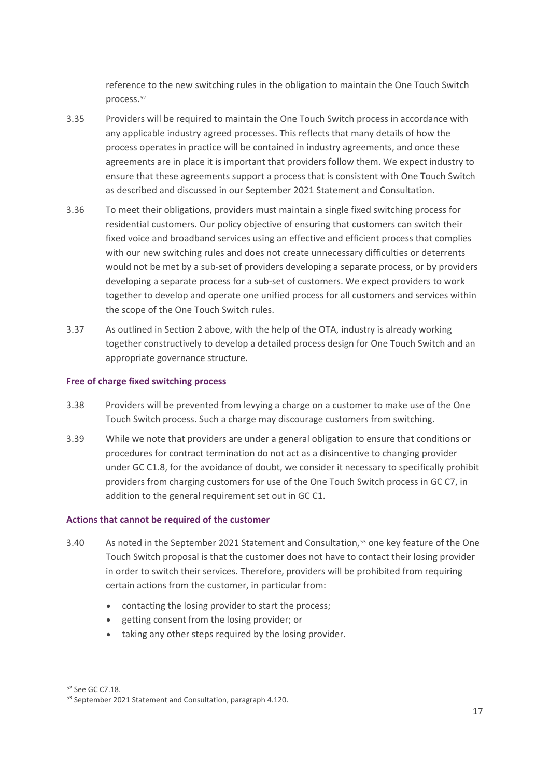reference to the new switching rules in the obligation to maintain the One Touch Switch process.[52](#page-18-0)

- 3.35 Providers will be required to maintain the One Touch Switch process in accordance with any applicable industry agreed processes. This reflects that many details of how the process operates in practice will be contained in industry agreements, and once these agreements are in place it is important that providers follow them. We expect industry to ensure that these agreements support a process that is consistent with One Touch Switch as described and discussed in our September 2021 Statement and Consultation.
- 3.36 To meet their obligations, providers must maintain a single fixed switching process for residential customers. Our policy objective of ensuring that customers can switch their fixed voice and broadband services using an effective and efficient process that complies with our new switching rules and does not create unnecessary difficulties or deterrents would not be met by a sub-set of providers developing a separate process, or by providers developing a separate process for a sub-set of customers. We expect providers to work together to develop and operate one unified process for all customers and services within the scope of the One Touch Switch rules.
- 3.37 As outlined in Section 2 above, with the help of the OTA, industry is already working together constructively to develop a detailed process design for One Touch Switch and an appropriate governance structure.

#### **Free of charge fixed switching process**

- 3.38 Providers will be prevented from levying a charge on a customer to make use of the One Touch Switch process. Such a charge may discourage customers from switching.
- 3.39 While we note that providers are under a general obligation to ensure that conditions or procedures for contract termination do not act as a disincentive to changing provider under GC C1.8, for the avoidance of doubt, we consider it necessary to specifically prohibit providers from charging customers for use of the One Touch Switch process in GC C7, in addition to the general requirement set out in GC C1.

#### **Actions that cannot be required of the customer**

- 3.40 As noted in the September 2021 Statement and Consultation,[53](#page-18-1) one key feature of the One Touch Switch proposal is that the customer does not have to contact their losing provider in order to switch their services. Therefore, providers will be prohibited from requiring certain actions from the customer, in particular from:
	- contacting the losing provider to start the process;
	- getting consent from the losing provider; or
	- taking any other steps required by the losing provider.

<span id="page-18-0"></span><sup>52</sup> See GC C7.18.

<span id="page-18-1"></span><sup>53</sup> September 2021 Statement and Consultation, paragraph 4.120.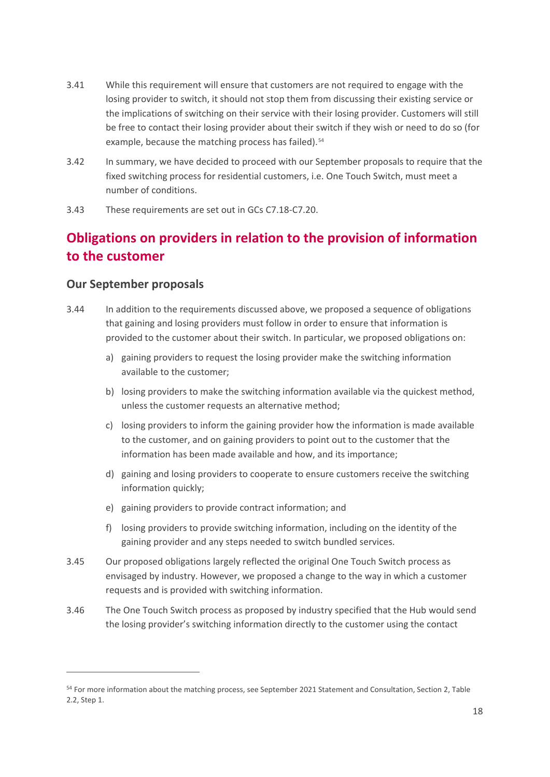- 3.41 While this requirement will ensure that customers are not required to engage with the losing provider to switch, it should not stop them from discussing their existing service or the implications of switching on their service with their losing provider. Customers will still be free to contact their losing provider about their switch if they wish or need to do so (for example, because the matching process has failed).<sup>[54](#page-19-0)</sup>
- 3.42 In summary, we have decided to proceed with our September proposals to require that the fixed switching process for residential customers, i.e. One Touch Switch, must meet a number of conditions.
- 3.43 These requirements are set out in GCs C7.18-C7.20.

# **Obligations on providers in relation to the provision of information to the customer**

# **Our September proposals**

- 3.44 In addition to the requirements discussed above, we proposed a sequence of obligations that gaining and losing providers must follow in order to ensure that information is provided to the customer about their switch. In particular, we proposed obligations on:
	- a) gaining providers to request the losing provider make the switching information available to the customer;
	- b) losing providers to make the switching information available via the quickest method, unless the customer requests an alternative method;
	- c) losing providers to inform the gaining provider how the information is made available to the customer, and on gaining providers to point out to the customer that the information has been made available and how, and its importance;
	- d) gaining and losing providers to cooperate to ensure customers receive the switching information quickly;
	- e) gaining providers to provide contract information; and
	- f) losing providers to provide switching information, including on the identity of the gaining provider and any steps needed to switch bundled services.
- 3.45 Our proposed obligations largely reflected the original One Touch Switch process as envisaged by industry. However, we proposed a change to the way in which a customer requests and is provided with switching information.
- 3.46 The One Touch Switch process as proposed by industry specified that the Hub would send the losing provider's switching information directly to the customer using the contact

<span id="page-19-0"></span><sup>54</sup> For more information about the matching process, see September 2021 Statement and Consultation, Section 2, Table 2.2, Step 1.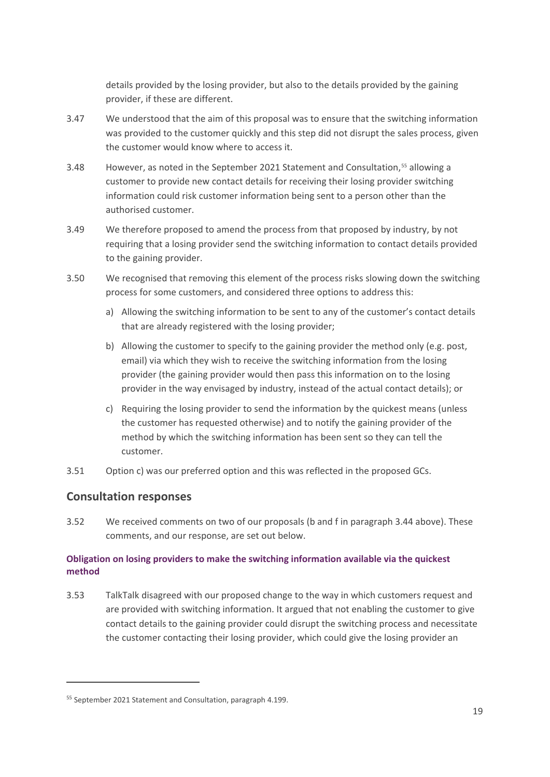details provided by the losing provider, but also to the details provided by the gaining provider, if these are different.

- 3.47 We understood that the aim of this proposal was to ensure that the switching information was provided to the customer quickly and this step did not disrupt the sales process, given the customer would know where to access it.
- 3.48 However, as noted in the September 2021 Statement and Consultation,[55](#page-20-0) allowing a customer to provide new contact details for receiving their losing provider switching information could risk customer information being sent to a person other than the authorised customer.
- 3.49 We therefore proposed to amend the process from that proposed by industry, by not requiring that a losing provider send the switching information to contact details provided to the gaining provider.
- 3.50 We recognised that removing this element of the process risks slowing down the switching process for some customers, and considered three options to address this:
	- a) Allowing the switching information to be sent to any of the customer's contact details that are already registered with the losing provider;
	- b) Allowing the customer to specify to the gaining provider the method only (e.g. post, email) via which they wish to receive the switching information from the losing provider (the gaining provider would then pass this information on to the losing provider in the way envisaged by industry, instead of the actual contact details); or
	- c) Requiring the losing provider to send the information by the quickest means (unless the customer has requested otherwise) and to notify the gaining provider of the method by which the switching information has been sent so they can tell the customer.
- 3.51 Option c) was our preferred option and this was reflected in the proposed GCs.

# **Consultation responses**

3.52 We received comments on two of our proposals (b and f in paragraph 3.44 above). These comments, and our response, are set out below.

### **Obligation on losing providers to make the switching information available via the quickest method**

3.53 TalkTalk disagreed with our proposed change to the way in which customers request and are provided with switching information. It argued that not enabling the customer to give contact details to the gaining provider could disrupt the switching process and necessitate the customer contacting their losing provider, which could give the losing provider an

<span id="page-20-0"></span><sup>55</sup> September 2021 Statement and Consultation, paragraph 4.199.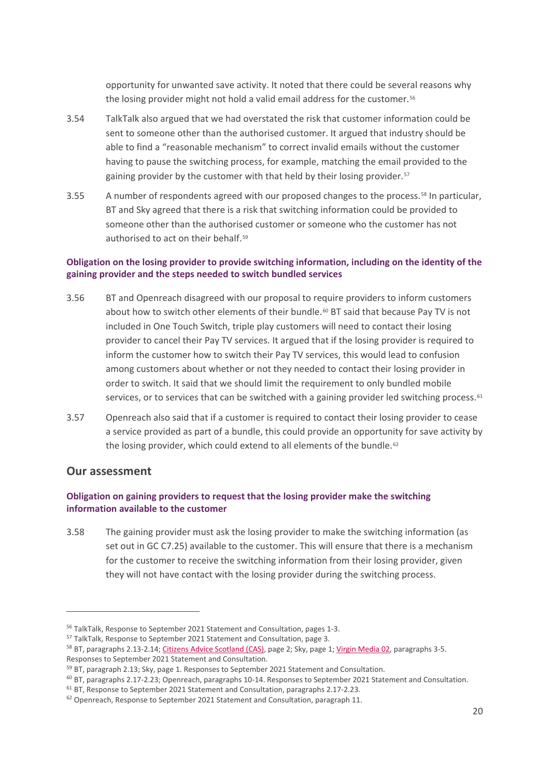opportunity for unwanted save activity. It noted that there could be several reasons why the losing provider might not hold a valid email address for the customer.<sup>[56](#page-21-0)</sup>

- 3.54 TalkTalk also argued that we had overstated the risk that customer information could be sent to someone other than the authorised customer. It argued that industry should be able to find a "reasonable mechanism" to correct invalid emails without the customer having to pause the switching process, for example, matching the email provided to the gaining provider by the customer with that held by their losing provider.<sup>[57](#page-21-1)</sup>
- 3.55 A number of respondents agreed with our proposed changes to the process.<sup>[58](#page-21-2)</sup> In particular, BT and Sky agreed that there is a risk that switching information could be provided to someone other than the authorised customer or someone who the customer has not authorised to act on their behalf.[59](#page-21-3)

### **Obligation on the losing provider to provide switching information, including on the identity of the gaining provider and the steps needed to switch bundled services**

- 3.56 BT and Openreach disagreed with our proposal to require providers to inform customers about how to switch other elements of their bundle.<sup>[60](#page-21-4)</sup> BT said that because Pay TV is not included in One Touch Switch, triple play customers will need to contact their losing provider to cancel their Pay TV services. It argued that if the losing provider is required to inform the customer how to switch their Pay TV services, this would lead to confusion among customers about whether or not they needed to contact their losing provider in order to switch. It said that we should limit the requirement to only bundled mobile services, or to services that can be switched with a gaining provider led switching process. $61$
- 3.57 Openreach also said that if a customer is required to contact their losing provider to cease a service provided as part of a bundle, this could provide an opportunity for save activity by the losing provider, which could extend to all elements of the bundle.<sup>[62](#page-21-6)</sup>

# **Our assessment**

#### **Obligation on gaining providers to request that the losing provider make the switching information available to the customer**

3.58 The gaining provider must ask the losing provider to make the switching information (as set out in GC C7.25) available to the customer. This will ensure that there is a mechanism for the customer to receive the switching information from their losing provider, given they will not have contact with the losing provider during the switching process.

<span id="page-21-0"></span><sup>&</sup>lt;sup>56</sup> TalkTalk, Response to September 2021 Statement and Consultation, pages 1-3.

<span id="page-21-1"></span><sup>57</sup> TalkTalk, Response to September 2021 Statement and Consultation, page 3.

<span id="page-21-2"></span><sup>&</sup>lt;sup>58</sup> BT, paragraphs 2.13-2.14[; Citizens Advice Scotland \(CAS\),](https://www.ofcom.org.uk/__data/assets/pdf_file/0030/228936/further-consultation-citizens-advice-scotland.pdf) page 2; Sky, page 1[; Virgin Media](https://www.ofcom.org.uk/__data/assets/pdf_file/0032/228947/further-consultation-virgin-media-o2.pdf) 02, paragraphs 3-5. Responses to September 2021 Statement and Consultation.

<span id="page-21-3"></span><sup>&</sup>lt;sup>59</sup> BT, paragraph 2.13; Sky, page 1. Responses to September 2021 Statement and Consultation.

<span id="page-21-4"></span><sup>&</sup>lt;sup>60</sup> BT, paragraphs 2.17-2.23; Openreach, paragraphs 10-14. Responses to September 2021 Statement and Consultation.

<span id="page-21-5"></span><sup>61</sup> BT, Response to September 2021 Statement and Consultation, paragraphs 2.17-2.23.

<span id="page-21-6"></span><sup>&</sup>lt;sup>62</sup> Openreach, Response to September 2021 Statement and Consultation, paragraph 11.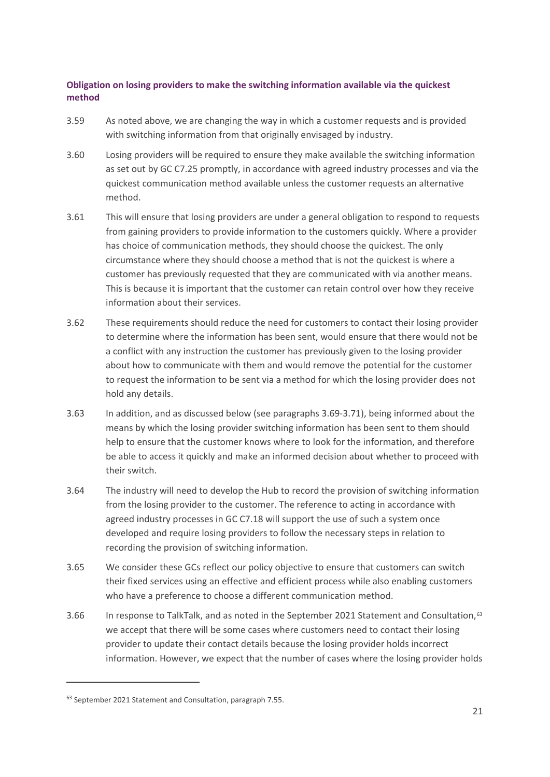#### **Obligation on losing providers to make the switching information available via the quickest method**

- 3.59 As noted above, we are changing the way in which a customer requests and is provided with switching information from that originally envisaged by industry.
- 3.60 Losing providers will be required to ensure they make available the switching information as set out by GC C7.25 promptly, in accordance with agreed industry processes and via the quickest communication method available unless the customer requests an alternative method.
- 3.61 This will ensure that losing providers are under a general obligation to respond to requests from gaining providers to provide information to the customers quickly. Where a provider has choice of communication methods, they should choose the quickest. The only circumstance where they should choose a method that is not the quickest is where a customer has previously requested that they are communicated with via another means. This is because it is important that the customer can retain control over how they receive information about their services.
- 3.62 These requirements should reduce the need for customers to contact their losing provider to determine where the information has been sent, would ensure that there would not be a conflict with any instruction the customer has previously given to the losing provider about how to communicate with them and would remove the potential for the customer to request the information to be sent via a method for which the losing provider does not hold any details.
- 3.63 In addition, and as discussed below (see paragraphs 3.69-3.71), being informed about the means by which the losing provider switching information has been sent to them should help to ensure that the customer knows where to look for the information, and therefore be able to access it quickly and make an informed decision about whether to proceed with their switch.
- 3.64 The industry will need to develop the Hub to record the provision of switching information from the losing provider to the customer. The reference to acting in accordance with agreed industry processes in GC C7.18 will support the use of such a system once developed and require losing providers to follow the necessary steps in relation to recording the provision of switching information.
- 3.65 We consider these GCs reflect our policy objective to ensure that customers can switch their fixed services using an effective and efficient process while also enabling customers who have a preference to choose a different communication method.
- 3.66 In response to TalkTalk, and as noted in the September 2021 Statement and Consultation,<sup>[63](#page-22-0)</sup> we accept that there will be some cases where customers need to contact their losing provider to update their contact details because the losing provider holds incorrect information. However, we expect that the number of cases where the losing provider holds

<span id="page-22-0"></span><sup>63</sup> September 2021 Statement and Consultation, paragraph 7.55.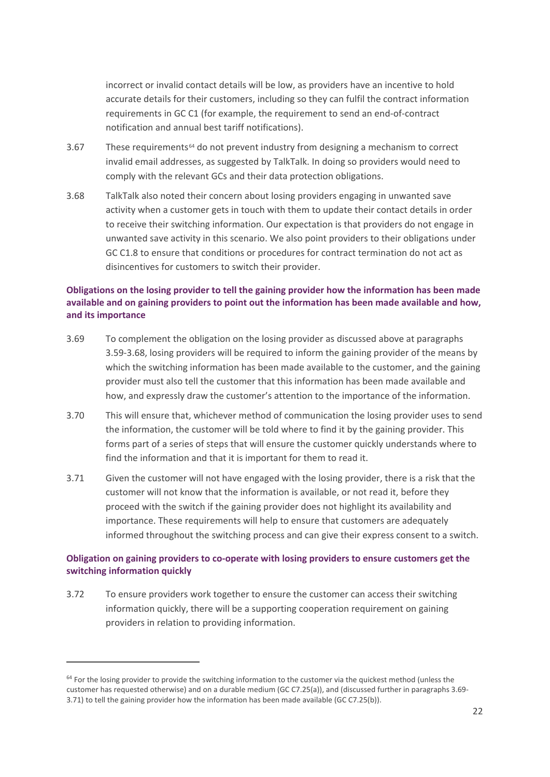incorrect or invalid contact details will be low, as providers have an incentive to hold accurate details for their customers, including so they can fulfil the contract information requirements in GC C1 (for example, the requirement to send an end-of-contract notification and annual best tariff notifications).

- 3.67 These requirements[64](#page-23-0) do not prevent industry from designing a mechanism to correct invalid email addresses, as suggested by TalkTalk. In doing so providers would need to comply with the relevant GCs and their data protection obligations.
- 3.68 TalkTalk also noted their concern about losing providers engaging in unwanted save activity when a customer gets in touch with them to update their contact details in order to receive their switching information. Our expectation is that providers do not engage in unwanted save activity in this scenario. We also point providers to their obligations under GC C1.8 to ensure that conditions or procedures for contract termination do not act as disincentives for customers to switch their provider.

#### **Obligations on the losing provider to tell the gaining provider how the information has been made available and on gaining providers to point out the information has been made available and how, and its importance**

- 3.69 To complement the obligation on the losing provider as discussed above at paragraphs 3.59-3.68, losing providers will be required to inform the gaining provider of the means by which the switching information has been made available to the customer, and the gaining provider must also tell the customer that this information has been made available and how, and expressly draw the customer's attention to the importance of the information.
- 3.70 This will ensure that, whichever method of communication the losing provider uses to send the information, the customer will be told where to find it by the gaining provider. This forms part of a series of steps that will ensure the customer quickly understands where to find the information and that it is important for them to read it.
- 3.71 Given the customer will not have engaged with the losing provider, there is a risk that the customer will not know that the information is available, or not read it, before they proceed with the switch if the gaining provider does not highlight its availability and importance. These requirements will help to ensure that customers are adequately informed throughout the switching process and can give their express consent to a switch.

#### **Obligation on gaining providers to co-operate with losing providers to ensure customers get the switching information quickly**

3.72 To ensure providers work together to ensure the customer can access their switching information quickly, there will be a supporting cooperation requirement on gaining providers in relation to providing information.

<span id="page-23-0"></span> $64$  For the losing provider to provide the switching information to the customer via the quickest method (unless the customer has requested otherwise) and on a durable medium (GC C7.25(a)), and (discussed further in paragraphs 3.69- 3.71) to tell the gaining provider how the information has been made available (GC C7.25(b)).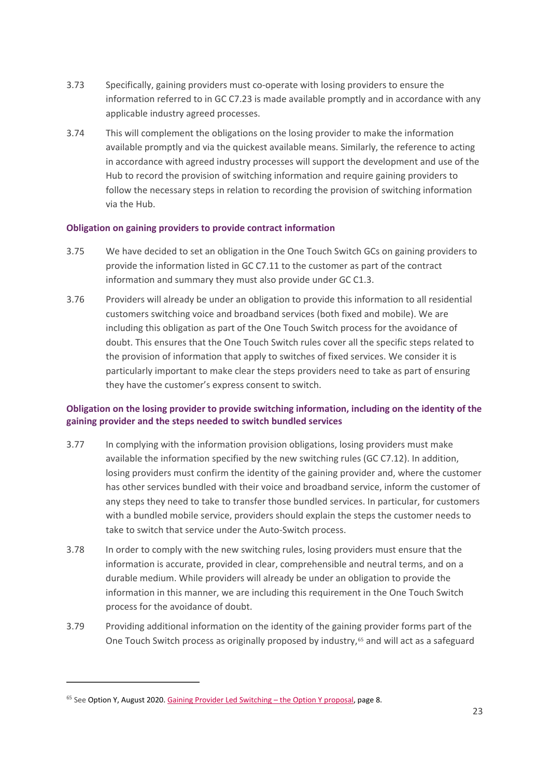- 3.73 Specifically, gaining providers must co-operate with losing providers to ensure the information referred to in GC C7.23 is made available promptly and in accordance with any applicable industry agreed processes.
- 3.74 This will complement the obligations on the losing provider to make the information available promptly and via the quickest available means. Similarly, the reference to acting in accordance with agreed industry processes will support the development and use of the Hub to record the provision of switching information and require gaining providers to follow the necessary steps in relation to recording the provision of switching information via the Hub.

#### **Obligation on gaining providers to provide contract information**

- 3.75 We have decided to set an obligation in the One Touch Switch GCs on gaining providers to provide the information listed in GC C7.11 to the customer as part of the contract information and summary they must also provide under GC C1.3.
- 3.76 Providers will already be under an obligation to provide this information to all residential customers switching voice and broadband services (both fixed and mobile). We are including this obligation as part of the One Touch Switch process for the avoidance of doubt. This ensures that the One Touch Switch rules cover all the specific steps related to the provision of information that apply to switches of fixed services. We consider it is particularly important to make clear the steps providers need to take as part of ensuring they have the customer's express consent to switch.

### **Obligation on the losing provider to provide switching information, including on the identity of the gaining provider and the steps needed to switch bundled services**

- 3.77 In complying with the information provision obligations, losing providers must make available the information specified by the new switching rules (GC C7.12). In addition, losing providers must confirm the identity of the gaining provider and, where the customer has other services bundled with their voice and broadband service, inform the customer of any steps they need to take to transfer those bundled services. In particular, for customers with a bundled mobile service, providers should explain the steps the customer needs to take to switch that service under the Auto-Switch process.
- 3.78 In order to comply with the new switching rules, losing providers must ensure that the information is accurate, provided in clear, comprehensible and neutral terms, and on a durable medium. While providers will already be under an obligation to provide the information in this manner, we are including this requirement in the One Touch Switch process for the avoidance of doubt.
- 3.79 Providing additional information on the identity of the gaining provider forms part of the One Touch Switch process as originally proposed by industry,<sup>[65](#page-24-0)</sup> and will act as a safeguard

<span id="page-24-0"></span> $65$  See Option Y, August 2020[. Gaining Provider Led Switching –](https://www.ofcom.org.uk/__data/assets/pdf_file/0021/212619/option-y-revised-proposal-summary.pdf) the Option Y proposal, page 8.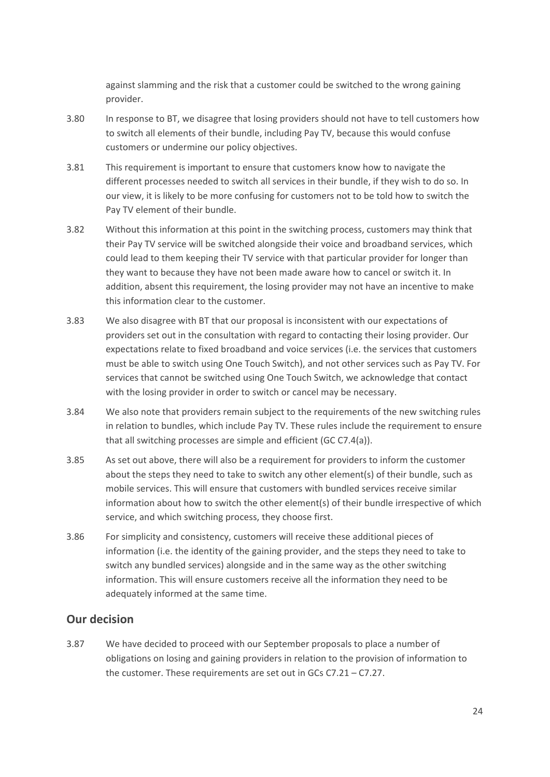against slamming and the risk that a customer could be switched to the wrong gaining provider.

- 3.80 In response to BT, we disagree that losing providers should not have to tell customers how to switch all elements of their bundle, including Pay TV, because this would confuse customers or undermine our policy objectives.
- 3.81 This requirement is important to ensure that customers know how to navigate the different processes needed to switch all services in their bundle, if they wish to do so. In our view, it is likely to be more confusing for customers not to be told how to switch the Pay TV element of their bundle.
- 3.82 Without this information at this point in the switching process, customers may think that their Pay TV service will be switched alongside their voice and broadband services, which could lead to them keeping their TV service with that particular provider for longer than they want to because they have not been made aware how to cancel or switch it. In addition, absent this requirement, the losing provider may not have an incentive to make this information clear to the customer.
- 3.83 We also disagree with BT that our proposal is inconsistent with our expectations of providers set out in the consultation with regard to contacting their losing provider. Our expectations relate to fixed broadband and voice services (i.e. the services that customers must be able to switch using One Touch Switch), and not other services such as Pay TV. For services that cannot be switched using One Touch Switch, we acknowledge that contact with the losing provider in order to switch or cancel may be necessary.
- 3.84 We also note that providers remain subject to the requirements of the new switching rules in relation to bundles, which include Pay TV. These rules include the requirement to ensure that all switching processes are simple and efficient (GC C7.4(a)).
- 3.85 As set out above, there will also be a requirement for providers to inform the customer about the steps they need to take to switch any other element(s) of their bundle, such as mobile services. This will ensure that customers with bundled services receive similar information about how to switch the other element(s) of their bundle irrespective of which service, and which switching process, they choose first.
- 3.86 For simplicity and consistency, customers will receive these additional pieces of information (i.e. the identity of the gaining provider, and the steps they need to take to switch any bundled services) alongside and in the same way as the other switching information. This will ensure customers receive all the information they need to be adequately informed at the same time.

# **Our decision**

3.87 We have decided to proceed with our September proposals to place a number of obligations on losing and gaining providers in relation to the provision of information to the customer. These requirements are set out in GCs C7.21 – C7.27.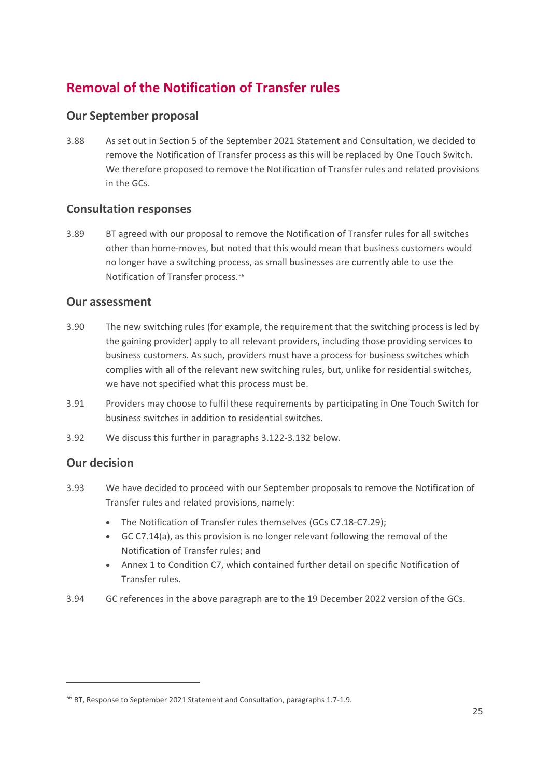# **Removal of the Notification of Transfer rules**

# **Our September proposal**

3.88 As set out in Section 5 of the September 2021 Statement and Consultation, we decided to remove the Notification of Transfer process as this will be replaced by One Touch Switch. We therefore proposed to remove the Notification of Transfer rules and related provisions in the GCs.

# **Consultation responses**

3.89 BT agreed with our proposal to remove the Notification of Transfer rules for all switches other than home-moves, but noted that this would mean that business customers would no longer have a switching process, as small businesses are currently able to use the Notification of Transfer process.<sup>[66](#page-26-0)</sup>

# **Our assessment**

- 3.90 The new switching rules (for example, the requirement that the switching process is led by the gaining provider) apply to all relevant providers, including those providing services to business customers. As such, providers must have a process for business switches which complies with all of the relevant new switching rules, but, unlike for residential switches, we have not specified what this process must be.
- 3.91 Providers may choose to fulfil these requirements by participating in One Touch Switch for business switches in addition to residential switches.
- 3.92 We discuss this further in paragraphs 3.122-3.132 below.

# **Our decision**

- 3.93 We have decided to proceed with our September proposals to remove the Notification of Transfer rules and related provisions, namely:
	- The Notification of Transfer rules themselves (GCs C7.18-C7.29);
	- GC C7.14(a), as this provision is no longer relevant following the removal of the Notification of Transfer rules; and
	- Annex 1 to Condition C7, which contained further detail on specific Notification of Transfer rules.
- 3.94 GC references in the above paragraph are to the 19 December 2022 version of the GCs.

<span id="page-26-0"></span><sup>66</sup> BT, Response to September 2021 Statement and Consultation, paragraphs 1.7-1.9.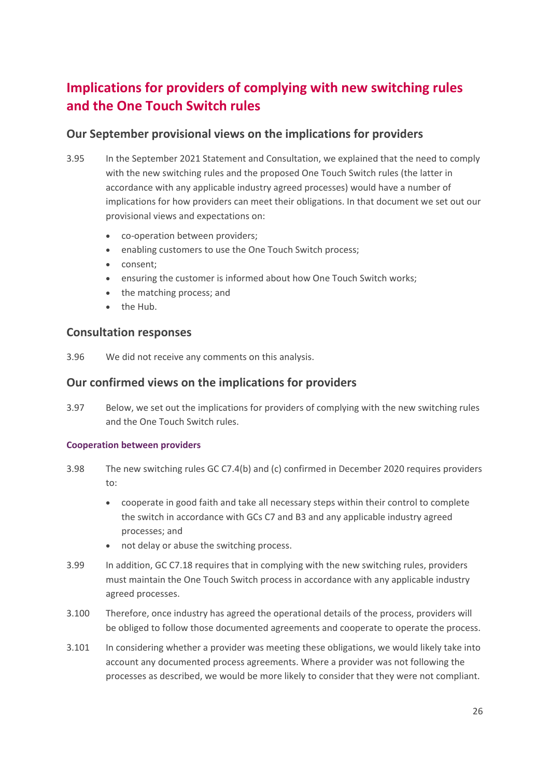# **Implications for providers of complying with new switching rules and the One Touch Switch rules**

# **Our September provisional views on the implications for providers**

- 3.95 In the September 2021 Statement and Consultation, we explained that the need to comply with the new switching rules and the proposed One Touch Switch rules (the latter in accordance with any applicable industry agreed processes) would have a number of implications for how providers can meet their obligations. In that document we set out our provisional views and expectations on:
	- co-operation between providers;
	- enabling customers to use the One Touch Switch process;
	- consent;
	- ensuring the customer is informed about how One Touch Switch works;
	- the matching process; and
	- the Hub.

# **Consultation responses**

3.96 We did not receive any comments on this analysis.

# **Our confirmed views on the implications for providers**

3.97 Below, we set out the implications for providers of complying with the new switching rules and the One Touch Switch rules.

#### **Cooperation between providers**

- 3.98 The new switching rules GC C7.4(b) and (c) confirmed in December 2020 requires providers to:
	- cooperate in good faith and take all necessary steps within their control to complete the switch in accordance with GCs C7 and B3 and any applicable industry agreed processes; and
	- not delay or abuse the switching process.
- 3.99 In addition, GC C7.18 requires that in complying with the new switching rules, providers must maintain the One Touch Switch process in accordance with any applicable industry agreed processes.
- 3.100 Therefore, once industry has agreed the operational details of the process, providers will be obliged to follow those documented agreements and cooperate to operate the process.
- 3.101 In considering whether a provider was meeting these obligations, we would likely take into account any documented process agreements. Where a provider was not following the processes as described, we would be more likely to consider that they were not compliant.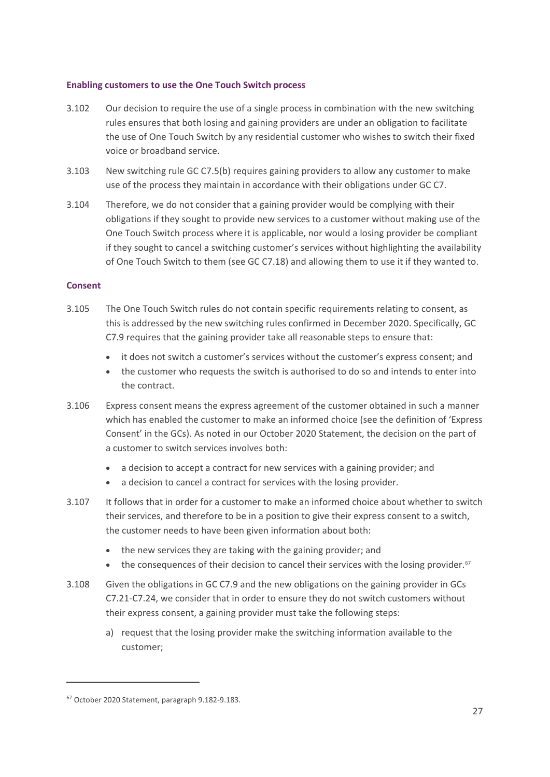#### **Enabling customers to use the One Touch Switch process**

- 3.102 Our decision to require the use of a single process in combination with the new switching rules ensures that both losing and gaining providers are under an obligation to facilitate the use of One Touch Switch by any residential customer who wishes to switch their fixed voice or broadband service.
- 3.103 New switching rule GC C7.5(b) requires gaining providers to allow any customer to make use of the process they maintain in accordance with their obligations under GC C7.
- 3.104 Therefore, we do not consider that a gaining provider would be complying with their obligations if they sought to provide new services to a customer without making use of the One Touch Switch process where it is applicable, nor would a losing provider be compliant if they sought to cancel a switching customer's services without highlighting the availability of One Touch Switch to them (see GC C7.18) and allowing them to use it if they wanted to.

#### **Consent**

- 3.105 The One Touch Switch rules do not contain specific requirements relating to consent, as this is addressed by the new switching rules confirmed in December 2020. Specifically, GC C7.9 requires that the gaining provider take all reasonable steps to ensure that:
	- it does not switch a customer's services without the customer's express consent; and
	- the customer who requests the switch is authorised to do so and intends to enter into the contract.
- 3.106 Express consent means the express agreement of the customer obtained in such a manner which has enabled the customer to make an informed choice (see the definition of 'Express Consent' in the GCs). As noted in our October 2020 Statement, the decision on the part of a customer to switch services involves both:
	- a decision to accept a contract for new services with a gaining provider; and
	- a decision to cancel a contract for services with the losing provider.
- 3.107 It follows that in order for a customer to make an informed choice about whether to switch their services, and therefore to be in a position to give their express consent to a switch, the customer needs to have been given information about both:
	- the new services they are taking with the gaining provider; and
	- the consequences of their decision to cancel their services with the losing provider.<sup>67</sup>
- 3.108 Given the obligations in GC C7.9 and the new obligations on the gaining provider in GCs C7.21-C7.24, we consider that in order to ensure they do not switch customers without their express consent, a gaining provider must take the following steps:
	- a) request that the losing provider make the switching information available to the customer;

<span id="page-28-0"></span><sup>67</sup> October 2020 Statement, paragraph 9.182-9.183.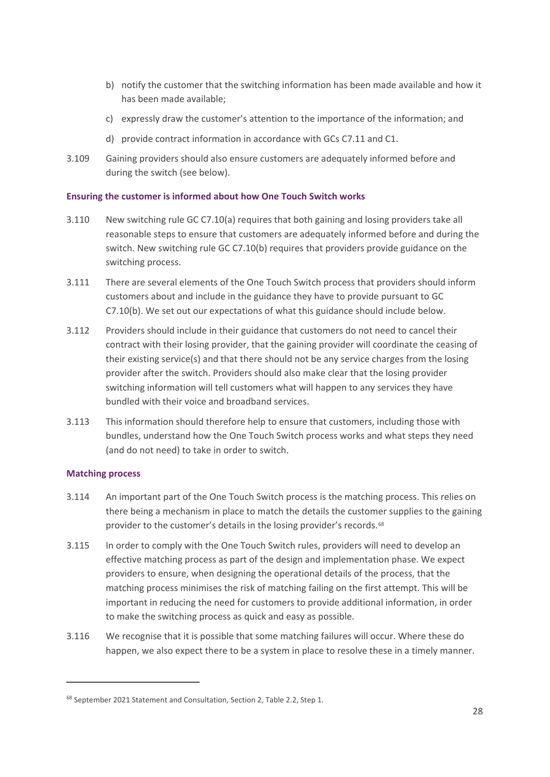- b) notify the customer that the switching information has been made available and how it has been made available;
- c) expressly draw the customer's attention to the importance of the information; and
- d) provide contract information in accordance with GCs C7.11 and C1.
- 3.109 Gaining providers should also ensure customers are adequately informed before and during the switch (see below).

#### **Ensuring the customer is informed about how One Touch Switch works**

- 3.110 New switching rule GC C7.10(a) requires that both gaining and losing providers take all reasonable steps to ensure that customers are adequately informed before and during the switch. New switching rule GC C7.10(b) requires that providers provide guidance on the switching process.
- 3.111 There are several elements of the One Touch Switch process that providers should inform customers about and include in the guidance they have to provide pursuant to GC C7.10(b). We set out our expectations of what this guidance should include below.
- 3.112 Providers should include in their guidance that customers do not need to cancel their contract with their losing provider, that the gaining provider will coordinate the ceasing of their existing service(s) and that there should not be any service charges from the losing provider after the switch. Providers should also make clear that the losing provider switching information will tell customers what will happen to any services they have bundled with their voice and broadband services.
- 3.113 This information should therefore help to ensure that customers, including those with bundles, understand how the One Touch Switch process works and what steps they need (and do not need) to take in order to switch.

#### **Matching process**

- 3.114 An important part of the One Touch Switch process is the matching process. This relies on there being a mechanism in place to match the details the customer supplies to the gaining provider to the customer's details in the losing provider's records.<sup>[68](#page-29-0)</sup>
- 3.115 In order to comply with the One Touch Switch rules, providers will need to develop an effective matching process as part of the design and implementation phase. We expect providers to ensure, when designing the operational details of the process, that the matching process minimises the risk of matching failing on the first attempt. This will be important in reducing the need for customers to provide additional information, in order to make the switching process as quick and easy as possible.
- 3.116 We recognise that it is possible that some matching failures will occur. Where these do happen, we also expect there to be a system in place to resolve these in a timely manner.

<span id="page-29-0"></span><sup>68</sup> September 2021 Statement and Consultation, Section 2, Table 2.2, Step 1.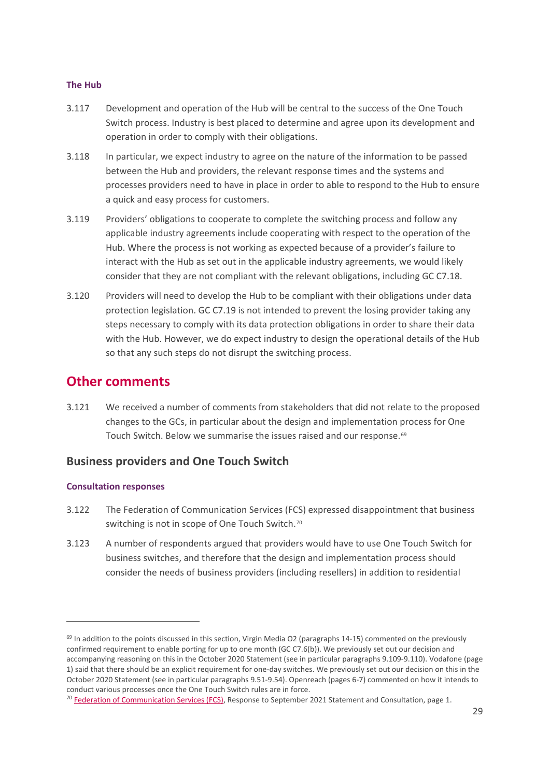#### **The Hub**

- 3.117 Development and operation of the Hub will be central to the success of the One Touch Switch process. Industry is best placed to determine and agree upon its development and operation in order to comply with their obligations.
- 3.118 In particular, we expect industry to agree on the nature of the information to be passed between the Hub and providers, the relevant response times and the systems and processes providers need to have in place in order to able to respond to the Hub to ensure a quick and easy process for customers.
- 3.119 Providers' obligations to cooperate to complete the switching process and follow any applicable industry agreements include cooperating with respect to the operation of the Hub. Where the process is not working as expected because of a provider's failure to interact with the Hub as set out in the applicable industry agreements, we would likely consider that they are not compliant with the relevant obligations, including GC C7.18.
- 3.120 Providers will need to develop the Hub to be compliant with their obligations under data protection legislation. GC C7.19 is not intended to prevent the losing provider taking any steps necessary to comply with its data protection obligations in order to share their data with the Hub. However, we do expect industry to design the operational details of the Hub so that any such steps do not disrupt the switching process.

# **Other comments**

3.121 We received a number of comments from stakeholders that did not relate to the proposed changes to the GCs, in particular about the design and implementation process for One Touch Switch. Below we summarise the issues raised and our response.<sup>[69](#page-30-0)</sup>

#### **Business providers and One Touch Switch**

#### **Consultation responses**

- 3.122 The Federation of Communication Services (FCS) expressed disappointment that business switching is not in scope of One Touch Switch.<sup>[70](#page-30-1)</sup>
- 3.123 A number of respondents argued that providers would have to use One Touch Switch for business switches, and therefore that the design and implementation process should consider the needs of business providers (including resellers) in addition to residential

<span id="page-30-0"></span> $69$  In addition to the points discussed in this section, Virgin Media O2 (paragraphs 14-15) commented on the previously confirmed requirement to enable porting for up to one month (GC C7.6(b)). We previously set out our decision and accompanying reasoning on this in the October 2020 Statement (see in particular paragraphs 9.109-9.110). Vodafone (page 1) said that there should be an explicit requirement for one-day switches. We previously set out our decision on this in the October 2020 Statement (see in particular paragraphs 9.51-9.54). Openreach (pages 6-7) commented on how it intends to conduct various processes once the One Touch Switch rules are in force.

<span id="page-30-1"></span> $70$  [Federation of Communication](https://www.ofcom.org.uk/__data/assets/pdf_file/0032/228938/further-consultation-fcs.pdf) Services (FCS), Response to September 2021 Statement and Consultation, page 1.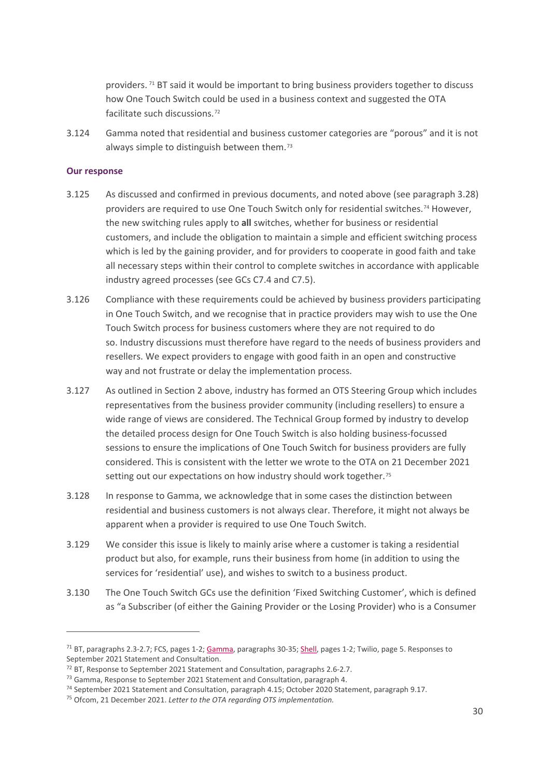providers. [71](#page-31-0) BT said it would be important to bring business providers together to discuss how One Touch Switch could be used in a business context and suggested the OTA facilitate such discussions.[72](#page-31-1)

3.124 Gamma noted that residential and business customer categories are "porous" and it is not always simple to distinguish between them.[73](#page-31-2)

#### **Our response**

- 3.125 As discussed and confirmed in previous documents, and noted above (see paragraph 3.28) providers are required to use One Touch Switch only for residential switches.[74](#page-31-3) However, the new switching rules apply to **all** switches, whether for business or residential customers, and include the obligation to maintain a simple and efficient switching process which is led by the gaining provider, and for providers to cooperate in good faith and take all necessary steps within their control to complete switches in accordance with applicable industry agreed processes (see GCs C7.4 and C7.5).
- 3.126 Compliance with these requirements could be achieved by business providers participating in One Touch Switch, and we recognise that in practice providers may wish to use the One Touch Switch process for business customers where they are not required to do so. Industry discussions must therefore have regard to the needs of business providers and resellers. We expect providers to engage with good faith in an open and constructive way and not frustrate or delay the implementation process.
- 3.127 As outlined in Section 2 above, industry has formed an OTS Steering Group which includes representatives from the business provider community (including resellers) to ensure a wide range of views are considered. The Technical Group formed by industry to develop the detailed process design for One Touch Switch is also holding business-focussed sessions to ensure the implications of One Touch Switch for business providers are fully considered. This is consistent with the letter we wrote to the OTA on 21 December 2021 setting out our expectations on how industry should work together.<sup>[75](#page-31-4)</sup>
- 3.128 In response to Gamma, we acknowledge that in some cases the distinction between residential and business customers is not always clear. Therefore, it might not always be apparent when a provider is required to use One Touch Switch.
- 3.129 We consider this issue is likely to mainly arise where a customer is taking a residential product but also, for example, runs their business from home (in addition to using the services for 'residential' use), and wishes to switch to a business product.
- 3.130 The One Touch Switch GCs use the definition 'Fixed Switching Customer', which is defined as "a Subscriber (of either the Gaining Provider or the Losing Provider) who is a Consumer

<span id="page-31-0"></span><sup>&</sup>lt;sup>71</sup> BT, paragraphs 2.3-2.7; FCS, pages 1-2; [Gamma,](https://www.ofcom.org.uk/__data/assets/pdf_file/0020/231347/gamma-further.pdf) paragraphs 30-35; [Shell,](https://www.ofcom.org.uk/__data/assets/pdf_file/0027/228942/further-consultation-shell.pdf) pages 1-2; Twilio, page 5. Responses to September 2021 Statement and Consultation.<br><sup>72</sup> BT, Response to September 2021 Statement and Consultation, paragraphs 2.6-2.7.

<span id="page-31-2"></span><span id="page-31-1"></span><sup>&</sup>lt;sup>73</sup> Gamma, Response to September 2021 Statement and Consultation, paragraph 4.

<span id="page-31-3"></span><sup>74</sup> September 2021 Statement and Consultation, paragraph 4.15; October 2020 Statement, paragraph 9.17.

<span id="page-31-4"></span><sup>75</sup> Ofcom, 21 December 2021. *Letter to the OTA regarding OTS implementation.*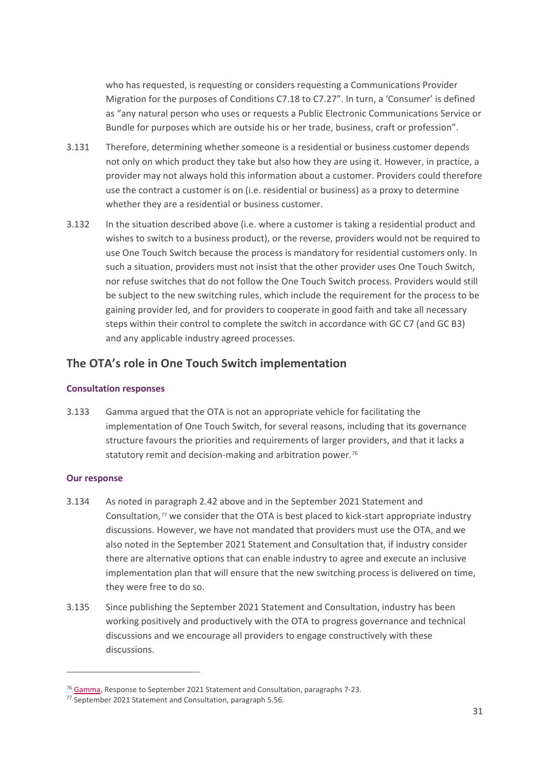who has requested, is requesting or considers requesting a Communications Provider Migration for the purposes of Conditions C7.18 to C7.27". In turn, a 'Consumer' is defined as "any natural person who uses or requests a Public Electronic Communications Service or Bundle for purposes which are outside his or her trade, business, craft or profession".

- 3.131 Therefore, determining whether someone is a residential or business customer depends not only on which product they take but also how they are using it. However, in practice, a provider may not always hold this information about a customer. Providers could therefore use the contract a customer is on (i.e. residential or business) as a proxy to determine whether they are a residential or business customer.
- 3.132 In the situation described above (i.e. where a customer is taking a residential product and wishes to switch to a business product), or the reverse, providers would not be required to use One Touch Switch because the process is mandatory for residential customers only. In such a situation, providers must not insist that the other provider uses One Touch Switch, nor refuse switches that do not follow the One Touch Switch process. Providers would still be subject to the new switching rules, which include the requirement for the process to be gaining provider led, and for providers to cooperate in good faith and take all necessary steps within their control to complete the switch in accordance with GC C7 (and GC B3) and any applicable industry agreed processes.

# **The OTA's role in One Touch Switch implementation**

#### **Consultation responses**

3.133 Gamma argued that the OTA is not an appropriate vehicle for facilitating the implementation of One Touch Switch, for several reasons, including that its governance structure favours the priorities and requirements of larger providers, and that it lacks a statutory remit and decision-making and arbitration power.<sup>[76](#page-32-0)</sup>

#### **Our response**

- 3.134 As noted in paragraph 2.42 above and in the September 2021 Statement and Consultation, $77$  we consider that the OTA is best placed to kick-start appropriate industry discussions. However, we have not mandated that providers must use the OTA, and we also noted in the September 2021 Statement and Consultation that, if industry consider there are alternative options that can enable industry to agree and execute an inclusive implementation plan that will ensure that the new switching process is delivered on time, they were free to do so.
- 3.135 Since publishing the September 2021 Statement and Consultation, industry has been working positively and productively with the OTA to progress governance and technical discussions and we encourage all providers to engage constructively with these discussions.

<span id="page-32-0"></span><sup>&</sup>lt;sup>76</sup> [Gamma,](https://www.ofcom.org.uk/__data/assets/pdf_file/0020/231347/gamma-further.pdf) Response to September 2021 Statement and Consultation, paragraphs 7-23.

<span id="page-32-1"></span><sup>77</sup> September 2021 Statement and Consultation, paragraph 5.56.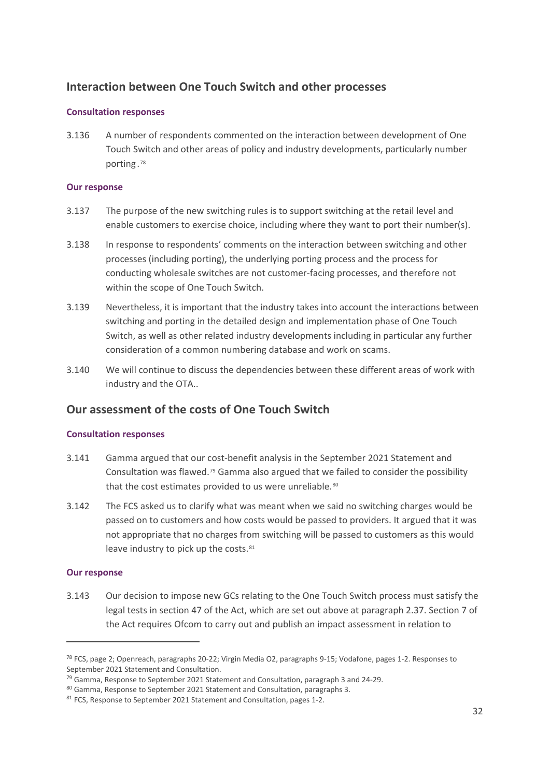# **Interaction between One Touch Switch and other processes**

#### **Consultation responses**

3.136 A number of respondents commented on the interaction between development of One Touch Switch and other areas of policy and industry developments, particularly number porting .[78](#page-33-0)

#### **Our response**

- 3.137 The purpose of the new switching rules is to support switching at the retail level and enable customers to exercise choice, including where they want to port their number(s).
- 3.138 In response to respondents' comments on the interaction between switching and other processes (including porting), the underlying porting process and the process for conducting wholesale switches are not customer-facing processes, and therefore not within the scope of One Touch Switch.
- 3.139 Nevertheless, it is important that the industry takes into account the interactions between switching and porting in the detailed design and implementation phase of One Touch Switch, as well as other related industry developments including in particular any further consideration of a common numbering database and work on scams.
- 3.140 We will continue to discuss the dependencies between these different areas of work with industry and the OTA..

# **Our assessment of the costs of One Touch Switch**

#### **Consultation responses**

- 3.141 Gamma argued that our cost-benefit analysis in the September 2021 Statement and Consultation was flawed.[79](#page-33-1) Gamma also argued that we failed to consider the possibility that the cost estimates provided to us were unreliable.<sup>[80](#page-33-2)</sup>
- 3.142 The FCS asked us to clarify what was meant when we said no switching charges would be passed on to customers and how costs would be passed to providers. It argued that it was not appropriate that no charges from switching will be passed to customers as this would leave industry to pick up the costs.<sup>[81](#page-33-3)</sup>

#### **Our response**

3.143 Our decision to impose new GCs relating to the One Touch Switch process must satisfy the legal tests in section 47 of the Act, which are set out above at paragraph 2.37. Section 7 of the Act requires Ofcom to carry out and publish an impact assessment in relation to

<span id="page-33-0"></span><sup>&</sup>lt;sup>78</sup> FCS, page 2; Openreach, paragraphs 20-22; Virgin Media O2, paragraphs 9-15; Vodafone, pages 1-2. Responses to September 2021 Statement and Consultation.<br><sup>79</sup> Gamma, Response to September 2021 Statement and Consultation, paragraph 3 and 24-29.

<span id="page-33-1"></span>

<span id="page-33-2"></span><sup>80</sup> Gamma, Response to September 2021 Statement and Consultation, paragraphs 3.

<span id="page-33-3"></span><sup>&</sup>lt;sup>81</sup> FCS, Response to September 2021 Statement and Consultation, pages 1-2.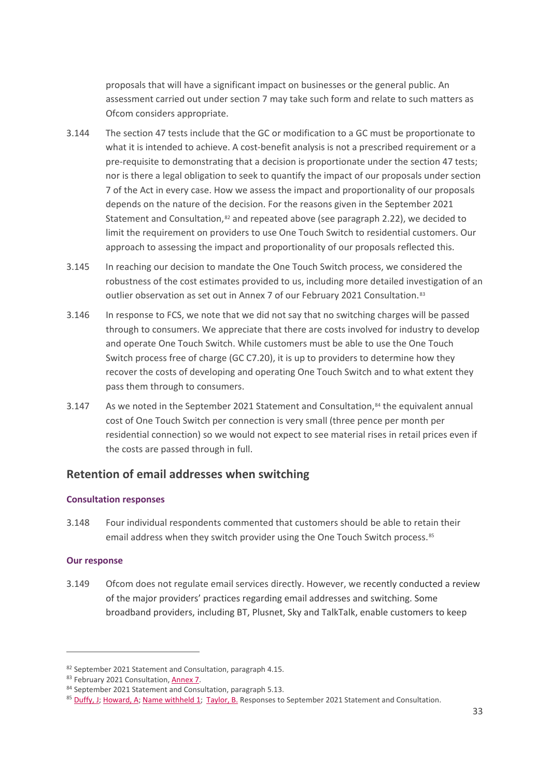proposals that will have a significant impact on businesses or the general public. An assessment carried out under section 7 may take such form and relate to such matters as Ofcom considers appropriate.

- 3.144 The section 47 tests include that the GC or modification to a GC must be proportionate to what it is intended to achieve. A cost-benefit analysis is not a prescribed requirement or a pre-requisite to demonstrating that a decision is proportionate under the section 47 tests; nor is there a legal obligation to seek to quantify the impact of our proposals under section 7 of the Act in every case. How we assess the impact and proportionality of our proposals depends on the nature of the decision. For the reasons given in the September 2021 Statement and Consultation, $82$  and repeated above (see paragraph 2.22), we decided to limit the requirement on providers to use One Touch Switch to residential customers. Our approach to assessing the impact and proportionality of our proposals reflected this.
- 3.145 In reaching our decision to mandate the One Touch Switch process, we considered the robustness of the cost estimates provided to us, including more detailed investigation of an outlier observation as set out in Annex 7 of our February 2021 Consultation.<sup>[83](#page-34-1)</sup>
- 3.146 In response to FCS, we note that we did not say that no switching charges will be passed through to consumers. We appreciate that there are costs involved for industry to develop and operate One Touch Switch. While customers must be able to use the One Touch Switch process free of charge (GC C7.20), it is up to providers to determine how they recover the costs of developing and operating One Touch Switch and to what extent they pass them through to consumers.
- 3.147 As we noted in the September 2021 Statement and Consultation, $84$  the equivalent annual cost of One Touch Switch per connection is very small (three pence per month per residential connection) so we would not expect to see material rises in retail prices even if the costs are passed through in full.

# **Retention of email addresses when switching**

#### **Consultation responses**

3.148 Four individual respondents commented that customers should be able to retain their email address when they switch provider using the One Touch Switch process.<sup>[85](#page-34-3)</sup>

#### **Our response**

3.149 Ofcom does not regulate email services directly. However, we recently conducted a review of the major providers' practices regarding email addresses and switching. Some broadband providers, including BT, Plusnet, Sky and TalkTalk, enable customers to keep

<span id="page-34-0"></span><sup>82</sup> September 2021 Statement and Consultation, paragraph 4.15.

<span id="page-34-1"></span><sup>83</sup> February 2021 Consultation, [Annex 7.](https://www.ofcom.org.uk/__data/assets/pdf_file/0018/212634/annex-7-estimated-costs-code-switch-one-touch.pdf)

<span id="page-34-2"></span><sup>84</sup> September 2021 Statement and Consultation, paragraph 5.13.

<span id="page-34-3"></span><sup>85</sup> [Duffy, J;](https://www.ofcom.org.uk/__data/assets/pdf_file/0031/228937/further-consultation-duffy-j.pdf) [Howard, A;](https://www.ofcom.org.uk/__data/assets/pdf_file/0033/228939/further-consultation-howard-a.pdf) [Name withheld 1;](https://www.ofcom.org.uk/__data/assets/pdf_file/0021/231348/name-withheld-1-further.pdf) [Taylor, B.](https://www.ofcom.org.uk/__data/assets/pdf_file/0030/228945/further-consultation-taylor-b.pdf) Responses to September 2021 Statement and Consultation.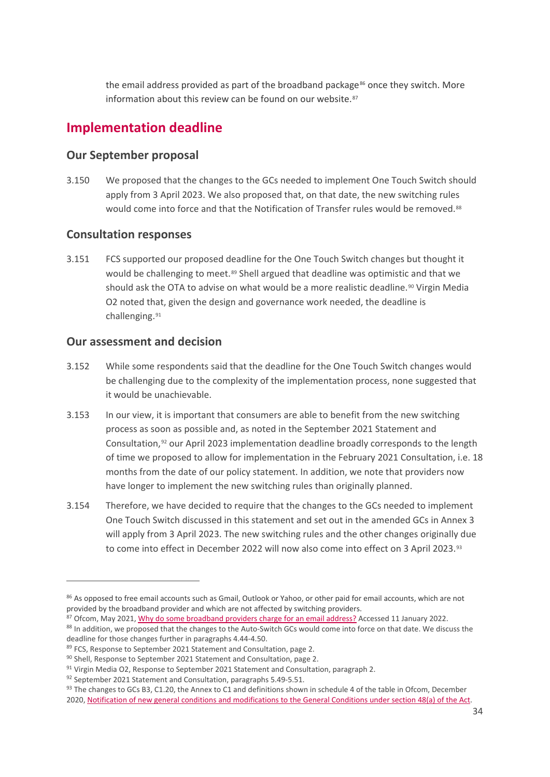the email address provided as part of the broadband package $86$  once they switch. More information about this review can be found on our website.<sup>[87](#page-35-1)</sup>

# **Implementation deadline**

### **Our September proposal**

3.150 We proposed that the changes to the GCs needed to implement One Touch Switch should apply from 3 April 2023. We also proposed that, on that date, the new switching rules would come into force and that the Notification of Transfer rules would be removed.<sup>[88](#page-35-2)</sup>

### **Consultation responses**

3.151 FCS supported our proposed deadline for the One Touch Switch changes but thought it would be challenging to meet.<sup>[89](#page-35-3)</sup> Shell argued that deadline was optimistic and that we should ask the OTA to advise on what would be a more realistic deadline.<sup>[90](#page-35-4)</sup> Virgin Media O2 noted that, given the design and governance work needed, the deadline is challenging.<sup>[91](#page-35-5)</sup>

# **Our assessment and decision**

- 3.152 While some respondents said that the deadline for the One Touch Switch changes would be challenging due to the complexity of the implementation process, none suggested that it would be unachievable.
- 3.153 In our view, it is important that consumers are able to benefit from the new switching process as soon as possible and, as noted in the September 2021 Statement and Consultation,[92](#page-35-6) our April 2023 implementation deadline broadly corresponds to the length of time we proposed to allow for implementation in the February 2021 Consultation, i.e. 18 months from the date of our policy statement. In addition, we note that providers now have longer to implement the new switching rules than originally planned.
- 3.154 Therefore, we have decided to require that the changes to the GCs needed to implement One Touch Switch discussed in this statement and set out in the amended GCs in Annex 3 will apply from 3 April 2023. The new switching rules and the other changes originally due to come into effect in December 2022 will now also come into effect on 3 April 2023.<sup>[93](#page-35-7)</sup>

<span id="page-35-0"></span><sup>86</sup> As opposed to free email accounts such as Gmail, Outlook or Yahoo, or other paid for email accounts, which are not provided by the broadband provider and which are not affected by switching providers.

<span id="page-35-1"></span><sup>87</sup> Ofcom, May 2021[, Why do some broadband providers charge for an email address?](https://www.ofcom.org.uk/about-ofcom/latest/features-and-news/why-broadband-providers-charge-for-email) Accessed 11 January 2022.

<span id="page-35-2"></span><sup>88</sup> In addition, we proposed that the changes to the Auto-Switch GCs would come into force on that date. We discuss the deadline for those changes further in paragraphs 4.44-4.50.

<span id="page-35-3"></span><sup>89</sup> FCS, Response to September 2021 Statement and Consultation, page 2.

<span id="page-35-4"></span><sup>90</sup> Shell, Response to September 2021 Statement and Consultation, page 2.

<span id="page-35-5"></span> $91$  Virgin Media O2, Response to September 2021 Statement and Consultation, paragraph 2.

<span id="page-35-6"></span><sup>92</sup> September 2021 Statement and Consultation, paragraphs 5.49-5.51.

<span id="page-35-7"></span><sup>93</sup> The changes to GCs B3, C1.20, the Annex to C1 and definitions shown in schedule 4 of the table in Ofcom, December 2020, [Notification of new general conditions and modifications to the General Conditions under section 48\(a\) of the Act.](https://www.ofcom.org.uk/__data/assets/pdf_file/0032/209498/annex-1-gc-changes-table-eecc.pdf)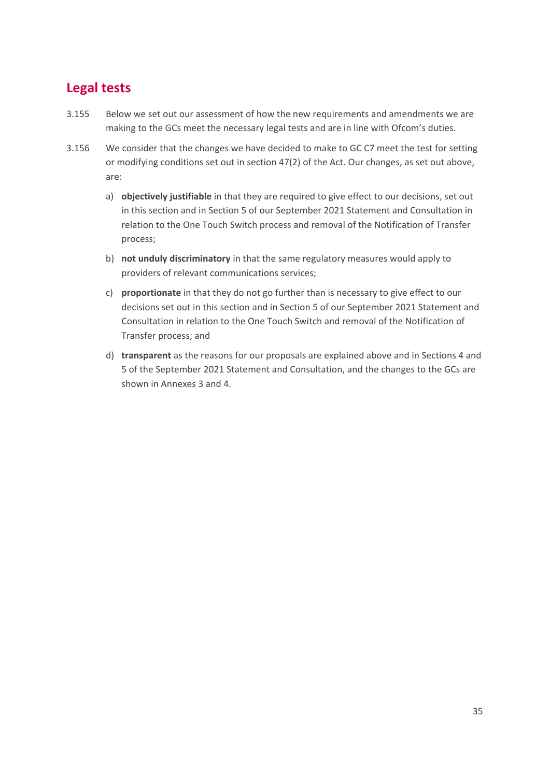# **Legal tests**

- 3.155 Below we set out our assessment of how the new requirements and amendments we are making to the GCs meet the necessary legal tests and are in line with Ofcom's duties.
- 3.156 We consider that the changes we have decided to make to GC C7 meet the test for setting or modifying conditions set out in section 47(2) of the Act. Our changes, as set out above, are:
	- a) **objectively justifiable** in that they are required to give effect to our decisions, set out in this section and in Section 5 of our September 2021 Statement and Consultation in relation to the One Touch Switch process and removal of the Notification of Transfer process;
	- b) **not unduly discriminatory** in that the same regulatory measures would apply to providers of relevant communications services;
	- c) **proportionate** in that they do not go further than is necessary to give effect to our decisions set out in this section and in Section 5 of our September 2021 Statement and Consultation in relation to the One Touch Switch and removal of the Notification of Transfer process; and
	- d) **transparent** as the reasons for our proposals are explained above and in Sections 4 and 5 of the September 2021 Statement and Consultation, and the changes to the GCs are shown in Annexes 3 and 4.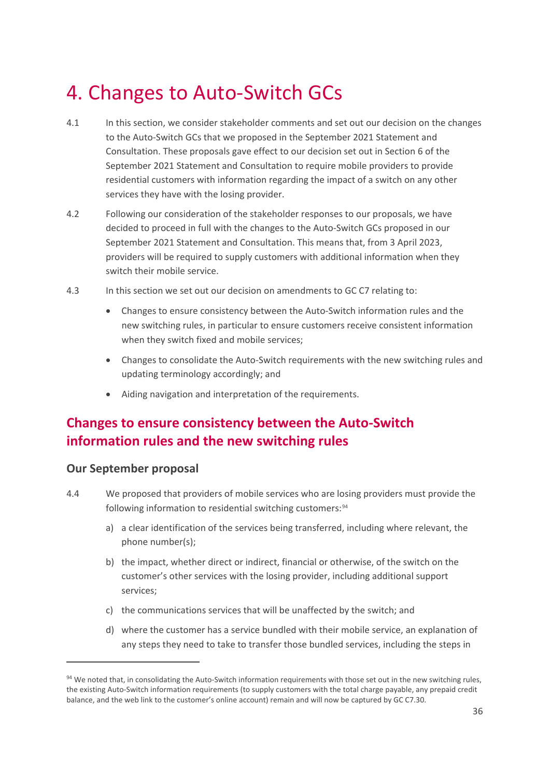# <span id="page-37-0"></span>4. Changes to Auto-Switch GCs

- 4.1 In this section, we consider stakeholder comments and set out our decision on the changes to the Auto-Switch GCs that we proposed in the September 2021 Statement and Consultation. These proposals gave effect to our decision set out in Section 6 of the September 2021 Statement and Consultation to require mobile providers to provide residential customers with information regarding the impact of a switch on any other services they have with the losing provider.
- 4.2 Following our consideration of the stakeholder responses to our proposals, we have decided to proceed in full with the changes to the Auto-Switch GCs proposed in our September 2021 Statement and Consultation. This means that, from 3 April 2023, providers will be required to supply customers with additional information when they switch their mobile service.
- 4.3 In this section we set out our decision on amendments to GC C7 relating to:
	- Changes to ensure consistency between the Auto-Switch information rules and the new switching rules, in particular to ensure customers receive consistent information when they switch fixed and mobile services;
	- Changes to consolidate the Auto-Switch requirements with the new switching rules and updating terminology accordingly; and
	- Aiding navigation and interpretation of the requirements.

# **Changes to ensure consistency between the Auto-Switch information rules and the new switching rules**

#### **Our September proposal**

- 4.4 We proposed that providers of mobile services who are losing providers must provide the following information to residential switching customers: 94
	- a) a clear identification of the services being transferred, including where relevant, the phone number(s);
	- b) the impact, whether direct or indirect, financial or otherwise, of the switch on the customer's other services with the losing provider, including additional support services;
	- c) the communications services that will be unaffected by the switch; and
	- d) where the customer has a service bundled with their mobile service, an explanation of any steps they need to take to transfer those bundled services, including the steps in

<span id="page-37-1"></span><sup>94</sup> We noted that, in consolidating the Auto-Switch information requirements with those set out in the new switching rules, the existing Auto-Switch information requirements (to supply customers with the total charge payable, any prepaid credit balance, and the web link to the customer's online account) remain and will now be captured by GC C7.30.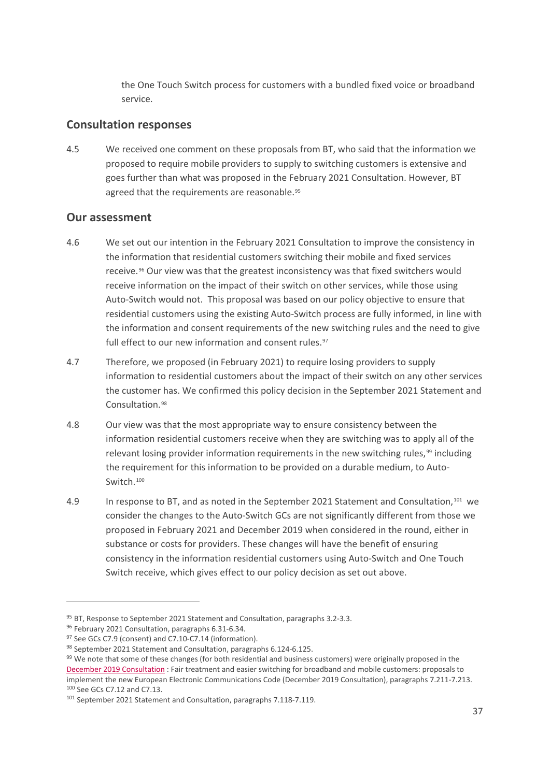the One Touch Switch process for customers with a bundled fixed voice or broadband service.

### **Consultation responses**

4.5 We received one comment on these proposals from BT, who said that the information we proposed to require mobile providers to supply to switching customers is extensive and goes further than what was proposed in the February 2021 Consultation. However, BT agreed that the requirements are reasonable.<sup>[95](#page-38-0)</sup>

### **Our assessment**

- 4.6 We set out our intention in the February 2021 Consultation to improve the consistency in the information that residential customers switching their mobile and fixed services receive.<sup>[96](#page-38-1)</sup> Our view was that the greatest inconsistency was that fixed switchers would receive information on the impact of their switch on other services, while those using Auto-Switch would not. This proposal was based on our policy objective to ensure that residential customers using the existing Auto-Switch process are fully informed, in line with the information and consent requirements of the new switching rules and the need to give full effect to our new information and consent rules.<sup>[97](#page-38-2)</sup>
- 4.7 Therefore, we proposed (in February 2021) to require losing providers to supply information to residential customers about the impact of their switch on any other services the customer has. We confirmed this policy decision in the September 2021 Statement and Consultation.[98](#page-38-3)
- 4.8 Our view was that the most appropriate way to ensure consistency between the information residential customers receive when they are switching was to apply all of the relevant losing provider information requirements in the new switching rules, $99$  including the requirement for this information to be provided on a durable medium, to Auto-Switch.[100](#page-38-5)
- 4.9 In response to BT, and as noted in the September 2021 Statement and Consultation,[101](#page-38-6) we consider the changes to the Auto-Switch GCs are not significantly different from those we proposed in February 2021 and December 2019 when considered in the round, either in substance or costs for providers. These changes will have the benefit of ensuring consistency in the information residential customers using Auto-Switch and One Touch Switch receive, which gives effect to our policy decision as set out above.

<span id="page-38-0"></span><sup>&</sup>lt;sup>95</sup> BT, Response to September 2021 Statement and Consultation, paragraphs 3.2-3.3.

<span id="page-38-1"></span><sup>96</sup> February 2021 Consultation, paragraphs 6.31-6.34.

<span id="page-38-2"></span><sup>97</sup> See GCs C7.9 (consent) and C7.10-C7.14 (information).

<span id="page-38-3"></span><sup>98</sup> September 2021 Statement and Consultation, paragraphs 6.124-6.125.

<span id="page-38-4"></span><sup>99</sup> We note that some of these changes (for both residential and business customers) were originally proposed in the [December 2019 Consultation](https://www.ofcom.org.uk/__data/assets/pdf_file/0032/184757/consultation-proposals-to-implement-new-eecc.pdf) : Fair treatment and easier switching for broadband and mobile customers: proposals to implement the new European Electronic Communications Code (December 2019 Consultation), paragraphs 7.211-7.213. <sup>100</sup> See GCs C7.12 and C7.13.

<span id="page-38-6"></span><span id="page-38-5"></span><sup>101</sup> September 2021 Statement and Consultation, paragraphs 7.118-7.119.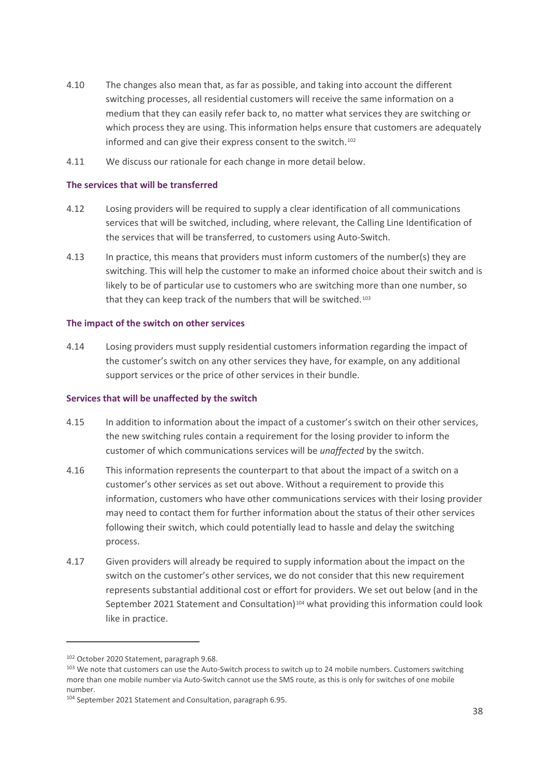- 4.10 The changes also mean that, as far as possible, and taking into account the different switching processes, all residential customers will receive the same information on a medium that they can easily refer back to, no matter what services they are switching or which process they are using. This information helps ensure that customers are adequately informed and can give their express consent to the switch.<sup>[102](#page-39-0)</sup>
- 4.11 We discuss our rationale for each change in more detail below.

#### **The services that will be transferred**

- 4.12 Losing providers will be required to supply a clear identification of all communications services that will be switched, including, where relevant, the Calling Line Identification of the services that will be transferred, to customers using Auto-Switch.
- 4.13 In practice, this means that providers must inform customers of the number(s) they are switching. This will help the customer to make an informed choice about their switch and is likely to be of particular use to customers who are switching more than one number, so that they can keep track of the numbers that will be switched.<sup>[103](#page-39-1)</sup>

#### **The impact of the switch on other services**

4.14 Losing providers must supply residential customers information regarding the impact of the customer's switch on any other services they have, for example, on any additional support services or the price of other services in their bundle.

#### **Services that will be unaffected by the switch**

- 4.15 In addition to information about the impact of a customer's switch on their other services, the new switching rules contain a requirement for the losing provider to inform the customer of which communications services will be *unaffected* by the switch.
- 4.16 This information represents the counterpart to that about the impact of a switch on a customer's other services as set out above. Without a requirement to provide this information, customers who have other communications services with their losing provider may need to contact them for further information about the status of their other services following their switch, which could potentially lead to hassle and delay the switching process.
- 4.17 Given providers will already be required to supply information about the impact on the switch on the customer's other services, we do not consider that this new requirement represents substantial additional cost or effort for providers. We set out below (and in the September 2021 Statement and Consultation)<sup>[104](#page-39-2)</sup> what providing this information could look like in practice.

<span id="page-39-0"></span><sup>102</sup> October 2020 Statement, paragraph 9.68.

<span id="page-39-1"></span><sup>&</sup>lt;sup>103</sup> We note that customers can use the Auto-Switch process to switch up to 24 mobile numbers. Customers switching more than one mobile number via Auto-Switch cannot use the SMS route, as this is only for switches of one mobile number.

<span id="page-39-2"></span><sup>104</sup> September 2021 Statement and Consultation, paragraph 6.95.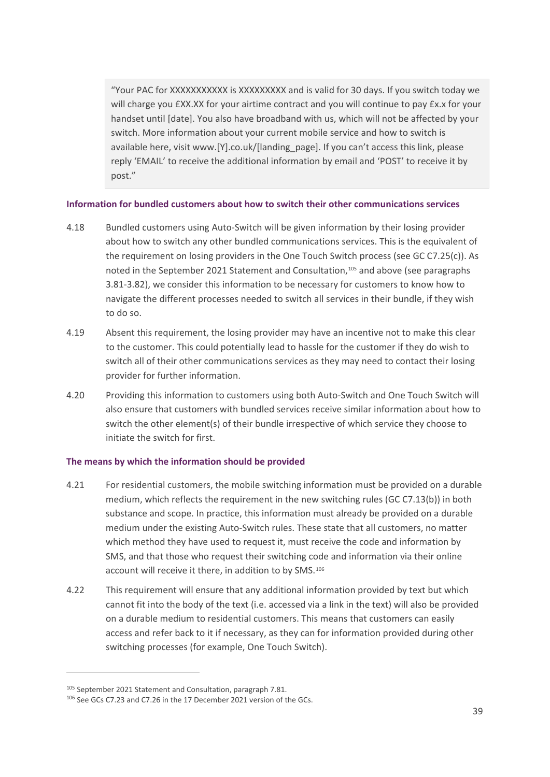"Your PAC for XXXXXXXXXXX is XXXXXXXXX and is valid for 30 days. If you switch today we will charge you £XX.XX for your airtime contract and you will continue to pay £x.x for your handset until [date]. You also have broadband with us, which will not be affected by your switch. More information about your current mobile service and how to switch is available here, visit www.[Y].co.uk/[landing\_page]. If you can't access this link, please reply 'EMAIL' to receive the additional information by email and 'POST' to receive it by post."

#### **Information for bundled customers about how to switch their other communications services**

- 4.18 Bundled customers using Auto-Switch will be given information by their losing provider about how to switch any other bundled communications services. This is the equivalent of the requirement on losing providers in the One Touch Switch process (see GC C7.25(c)). As noted in the September 2021 Statement and Consultation,<sup>[105](#page-40-0)</sup> and above (see paragraphs 3.81-3.82), we consider this information to be necessary for customers to know how to navigate the different processes needed to switch all services in their bundle, if they wish to do so.
- 4.19 Absent this requirement, the losing provider may have an incentive not to make this clear to the customer. This could potentially lead to hassle for the customer if they do wish to switch all of their other communications services as they may need to contact their losing provider for further information.
- 4.20 Providing this information to customers using both Auto-Switch and One Touch Switch will also ensure that customers with bundled services receive similar information about how to switch the other element(s) of their bundle irrespective of which service they choose to initiate the switch for first.

#### **The means by which the information should be provided**

- 4.21 For residential customers, the mobile switching information must be provided on a durable medium, which reflects the requirement in the new switching rules (GC C7.13(b)) in both substance and scope. In practice, this information must already be provided on a durable medium under the existing Auto-Switch rules. These state that all customers, no matter which method they have used to request it, must receive the code and information by SMS, and that those who request their switching code and information via their online account will receive it there, in addition to by SMS.<sup>[106](#page-40-1)</sup>
- 4.22 This requirement will ensure that any additional information provided by text but which cannot fit into the body of the text (i.e. accessed via a link in the text) will also be provided on a durable medium to residential customers. This means that customers can easily access and refer back to it if necessary, as they can for information provided during other switching processes (for example, One Touch Switch).

<span id="page-40-0"></span><sup>105</sup> September 2021 Statement and Consultation, paragraph 7.81.

<span id="page-40-1"></span><sup>106</sup> See GCs C7.23 and C7.26 in the 17 December 2021 version of the GCs.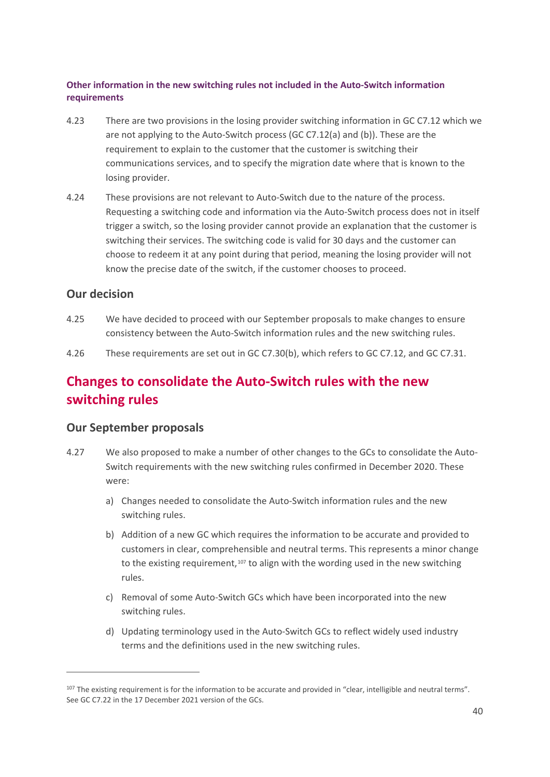#### **Other information in the new switching rules not included in the Auto-Switch information requirements**

- 4.23 There are two provisions in the losing provider switching information in GC C7.12 which we are not applying to the Auto-Switch process (GC C7.12(a) and (b)). These are the requirement to explain to the customer that the customer is switching their communications services, and to specify the migration date where that is known to the losing provider.
- 4.24 These provisions are not relevant to Auto-Switch due to the nature of the process. Requesting a switching code and information via the Auto-Switch process does not in itself trigger a switch, so the losing provider cannot provide an explanation that the customer is switching their services. The switching code is valid for 30 days and the customer can choose to redeem it at any point during that period, meaning the losing provider will not know the precise date of the switch, if the customer chooses to proceed.

# **Our decision**

- 4.25 We have decided to proceed with our September proposals to make changes to ensure consistency between the Auto-Switch information rules and the new switching rules.
- 4.26 These requirements are set out in GC C7.30(b), which refers to GC C7.12, and GC C7.31.

# **Changes to consolidate the Auto-Switch rules with the new switching rules**

# **Our September proposals**

- 4.27 We also proposed to make a number of other changes to the GCs to consolidate the Auto-Switch requirements with the new switching rules confirmed in December 2020. These were:
	- a) Changes needed to consolidate the Auto-Switch information rules and the new switching rules.
	- b) Addition of a new GC which requires the information to be accurate and provided to customers in clear, comprehensible and neutral terms. This represents a minor change to the existing requirement,<sup>[107](#page-41-0)</sup> to align with the wording used in the new switching rules.
	- c) Removal of some Auto-Switch GCs which have been incorporated into the new switching rules.
	- d) Updating terminology used in the Auto-Switch GCs to reflect widely used industry terms and the definitions used in the new switching rules.

<span id="page-41-0"></span><sup>&</sup>lt;sup>107</sup> The existing requirement is for the information to be accurate and provided in "clear, intelligible and neutral terms". See GC C7.22 in the 17 December 2021 version of the GCs.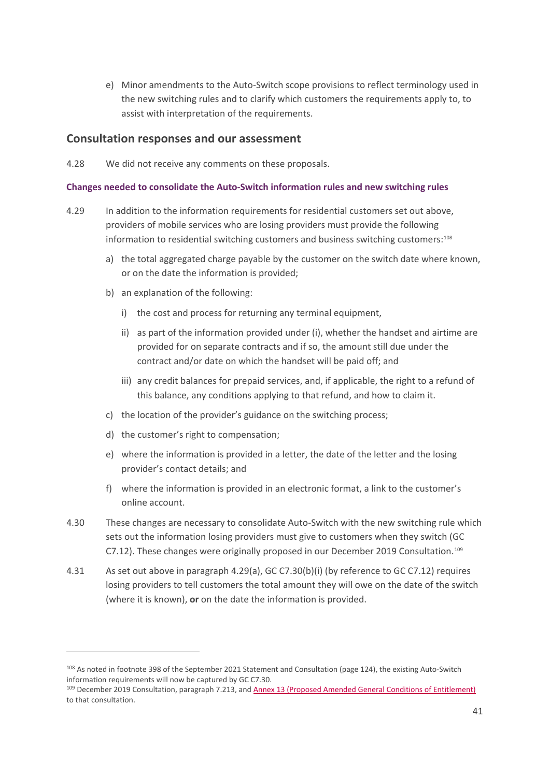e) Minor amendments to the Auto-Switch scope provisions to reflect terminology used in the new switching rules and to clarify which customers the requirements apply to, to assist with interpretation of the requirements.

### **Consultation responses and our assessment**

4.28 We did not receive any comments on these proposals.

#### **Changes needed to consolidate the Auto-Switch information rules and new switching rules**

- 4.29 In addition to the information requirements for residential customers set out above, providers of mobile services who are losing providers must provide the following information to residential switching customers and business switching customers:[108](#page-42-0)
	- a) the total aggregated charge payable by the customer on the switch date where known, or on the date the information is provided;
	- b) an explanation of the following:
		- i) the cost and process for returning any terminal equipment,
		- ii) as part of the information provided under (i), whether the handset and airtime are provided for on separate contracts and if so, the amount still due under the contract and/or date on which the handset will be paid off; and
		- iii) any credit balances for prepaid services, and, if applicable, the right to a refund of this balance, any conditions applying to that refund, and how to claim it.
	- c) the location of the provider's guidance on the switching process;
	- d) the customer's right to compensation;
	- e) where the information is provided in a letter, the date of the letter and the losing provider's contact details; and
	- f) where the information is provided in an electronic format, a link to the customer's online account.
- 4.30 These changes are necessary to consolidate Auto-Switch with the new switching rule which sets out the information losing providers must give to customers when they switch (GC C7.12). These changes were originally proposed in our December 2019 Consultation.[109](#page-42-1)
- 4.31 As set out above in paragraph 4.29(a), GC C7.30(b)(i) (by reference to GC C7.12) requires losing providers to tell customers the total amount they will owe on the date of the switch (where it is known), **or** on the date the information is provided.

<span id="page-42-0"></span><sup>&</sup>lt;sup>108</sup> As noted in footnote 398 of the September 2021 Statement and Consultation (page 124), the existing Auto-Switch information requirements will now be captured by GC C7.30.<br><sup>109</sup> December 2019 Consultation, paragraph 7.213, an[d Annex 13 \(Proposed Amended General Conditions of Entitlement\)](https://www.ofcom.org.uk/__data/assets/pdf_file/0036/184986/annex-16-eecc-consultation.pdf)

<span id="page-42-1"></span>to that consultation.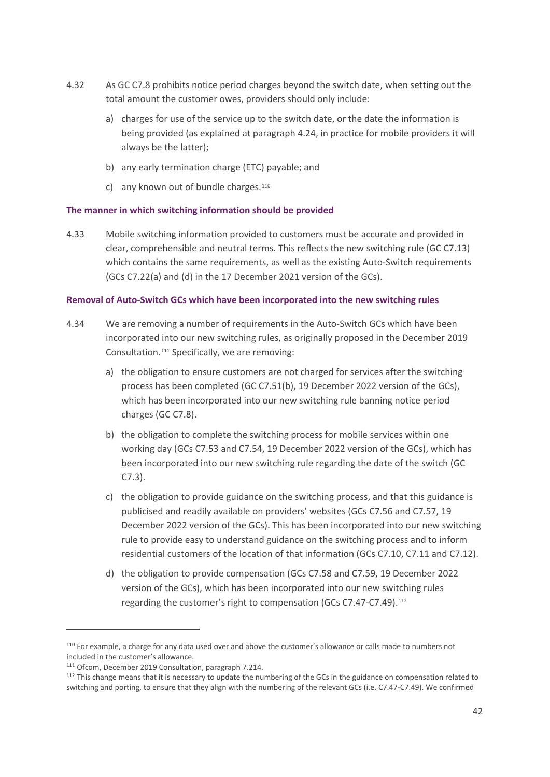- 4.32 As GC C7.8 prohibits notice period charges beyond the switch date, when setting out the total amount the customer owes, providers should only include:
	- a) charges for use of the service up to the switch date, or the date the information is being provided (as explained at paragraph 4.24, in practice for mobile providers it will always be the latter);
	- b) any early termination charge (ETC) payable; and
	- c) any known out of bundle charges.<sup>[110](#page-43-0)</sup>

#### **The manner in which switching information should be provided**

4.33 Mobile switching information provided to customers must be accurate and provided in clear, comprehensible and neutral terms. This reflects the new switching rule (GC C7.13) which contains the same requirements, as well as the existing Auto-Switch requirements (GCs C7.22(a) and (d) in the 17 December 2021 version of the GCs).

#### **Removal of Auto-Switch GCs which have been incorporated into the new switching rules**

- 4.34 We are removing a number of requirements in the Auto-Switch GCs which have been incorporated into our new switching rules, as originally proposed in the December 2019 Consultation.[111](#page-43-1) Specifically, we are removing:
	- a) the obligation to ensure customers are not charged for services after the switching process has been completed (GC C7.51(b), 19 December 2022 version of the GCs), which has been incorporated into our new switching rule banning notice period charges (GC C7.8).
	- b) the obligation to complete the switching process for mobile services within one working day (GCs C7.53 and C7.54, 19 December 2022 version of the GCs), which has been incorporated into our new switching rule regarding the date of the switch (GC C7.3).
	- c) the obligation to provide guidance on the switching process, and that this guidance is publicised and readily available on providers' websites (GCs C7.56 and C7.57, 19 December 2022 version of the GCs). This has been incorporated into our new switching rule to provide easy to understand guidance on the switching process and to inform residential customers of the location of that information (GCs C7.10, C7.11 and C7.12).
	- d) the obligation to provide compensation (GCs C7.58 and C7.59, 19 December 2022 version of the GCs), which has been incorporated into our new switching rules regarding the customer's right to compensation (GCs C7.47-C7.49).<sup>[112](#page-43-2)</sup>

<span id="page-43-0"></span><sup>110</sup> For example, a charge for any data used over and above the customer's allowance or calls made to numbers not included in the customer's allowance.

<span id="page-43-1"></span><sup>111</sup> Ofcom, December 2019 Consultation, paragraph 7.214.

<span id="page-43-2"></span><sup>&</sup>lt;sup>112</sup> This change means that it is necessary to update the numbering of the GCs in the guidance on compensation related to switching and porting, to ensure that they align with the numbering of the relevant GCs (i.e. C7.47-C7.49). We confirmed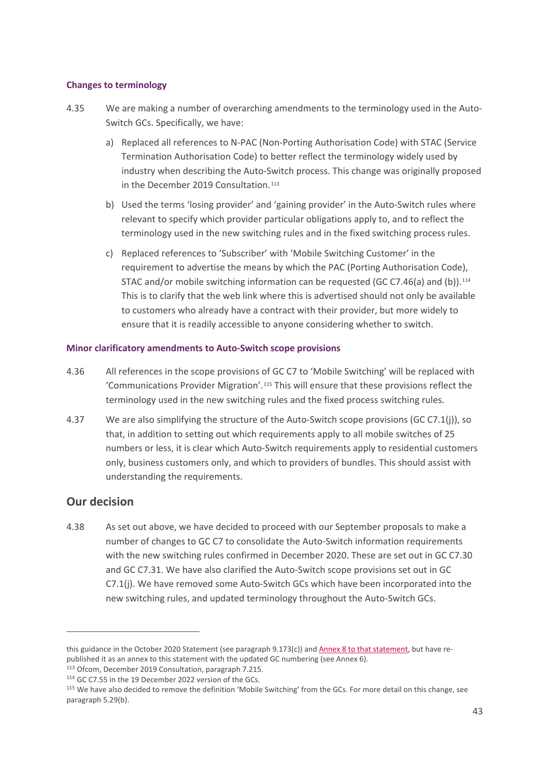#### **Changes to terminology**

- 4.35 We are making a number of overarching amendments to the terminology used in the Auto-Switch GCs. Specifically, we have:
	- a) Replaced all references to N-PAC (Non-Porting Authorisation Code) with STAC (Service Termination Authorisation Code) to better reflect the terminology widely used by industry when describing the Auto-Switch process. This change was originally proposed in the December 2019 Consultation.<sup>[113](#page-44-0)</sup>
	- b) Used the terms 'losing provider' and 'gaining provider' in the Auto-Switch rules where relevant to specify which provider particular obligations apply to, and to reflect the terminology used in the new switching rules and in the fixed switching process rules.
	- c) Replaced references to 'Subscriber' with 'Mobile Switching Customer' in the requirement to advertise the means by which the PAC (Porting Authorisation Code), STAC and/or mobile switching information can be requested (GC C7.46(a) and (b)).<sup>[114](#page-44-1)</sup> This is to clarify that the web link where this is advertised should not only be available to customers who already have a contract with their provider, but more widely to ensure that it is readily accessible to anyone considering whether to switch.

#### **Minor clarificatory amendments to Auto-Switch scope provisions**

- 4.36 All references in the scope provisions of GC C7 to 'Mobile Switching' will be replaced with 'Communications Provider Migration'.[115](#page-44-2) This will ensure that these provisions reflect the terminology used in the new switching rules and the fixed process switching rules.
- 4.37 We are also simplifying the structure of the Auto-Switch scope provisions (GC C7.1(j)), so that, in addition to setting out which requirements apply to all mobile switches of 25 numbers or less, it is clear which Auto-Switch requirements apply to residential customers only, business customers only, and which to providers of bundles. This should assist with understanding the requirements.

# **Our decision**

4.38 As set out above, we have decided to proceed with our September proposals to make a number of changes to GC C7 to consolidate the Auto-Switch information requirements with the new switching rules confirmed in December 2020. These are set out in GC C7.30 and GC C7.31. We have also clarified the Auto-Switch scope provisions set out in GC C7.1(j). We have removed some Auto-Switch GCs which have been incorporated into the new switching rules, and updated terminology throughout the Auto-Switch GCs.

this guidance in the October 2020 Statement (see paragraph 9.173(c)) an[d Annex 8 to that statement,](https://www.ofcom.org.uk/__data/assets/pdf_file/0017/205415/eecc-annex-8-new-guidance.pdf) but have republished it as an annex to this statement with the updated GC numbering (see Annex 6).

<span id="page-44-0"></span><sup>113</sup> Ofcom, December 2019 Consultation, paragraph 7.215.

<span id="page-44-1"></span><sup>&</sup>lt;sup>114</sup> GC C7.55 in the 19 December 2022 version of the GCs.

<span id="page-44-2"></span><sup>&</sup>lt;sup>115</sup> We have also decided to remove the definition 'Mobile Switching' from the GCs. For more detail on this change, see paragraph 5.29(b).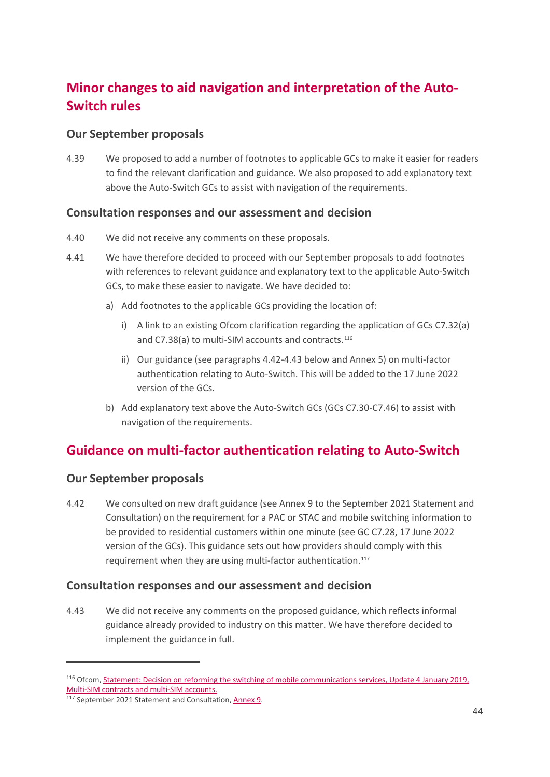# **Minor changes to aid navigation and interpretation of the Auto-Switch rules**

# **Our September proposals**

4.39 We proposed to add a number of footnotes to applicable GCs to make it easier for readers to find the relevant clarification and guidance. We also proposed to add explanatory text above the Auto-Switch GCs to assist with navigation of the requirements.

# **Consultation responses and our assessment and decision**

- 4.40 We did not receive any comments on these proposals.
- 4.41 We have therefore decided to proceed with our September proposals to add footnotes with references to relevant guidance and explanatory text to the applicable Auto-Switch GCs, to make these easier to navigate. We have decided to:
	- a) Add footnotes to the applicable GCs providing the location of:
		- i) A link to an existing Ofcom clarification regarding the application of GCs C7.32(a) and C7.38(a) to multi-SIM accounts and contracts.<sup>[116](#page-45-0)</sup>
		- ii) Our guidance (see paragraphs 4.42-4.43 below and Annex 5) on multi-factor authentication relating to Auto-Switch. This will be added to the 17 June 2022 version of the GCs.
	- b) Add explanatory text above the Auto-Switch GCs (GCs C7.30-C7.46) to assist with navigation of the requirements.

# **Guidance on multi-factor authentication relating to Auto-Switch**

# **Our September proposals**

4.42 We consulted on new draft guidance (see Annex 9 to the September 2021 Statement and Consultation) on the requirement for a PAC or STAC and mobile switching information to be provided to residential customers within one minute (see GC C7.28, 17 June 2022 version of the GCs). This guidance sets out how providers should comply with this requirement when they are using multi-factor authentication.<sup>[117](#page-45-1)</sup>

# **Consultation responses and our assessment and decision**

4.43 We did not receive any comments on the proposed guidance, which reflects informal guidance already provided to industry on this matter. We have therefore decided to implement the guidance in full.

<span id="page-45-0"></span><sup>116</sup> Ofcom, [Statement: Decision on reforming the switching of mobile communications services, Update 4 January 2019,](https://www.ofcom.org.uk/consultations-and-statements/category-2/consumer-switching-proposals-to-reform-switching-of-mobile-communications-services)  [Multi-SIM contracts and multi-SIM accounts.](https://www.ofcom.org.uk/consultations-and-statements/category-2/consumer-switching-proposals-to-reform-switching-of-mobile-communications-services)

<span id="page-45-1"></span><sup>117</sup> September 2021 Statement and Consultation, [Annex 9.](https://www.ofcom.org.uk/__data/assets/pdf_file/0025/225637/switching-statement-annex-9.pdf)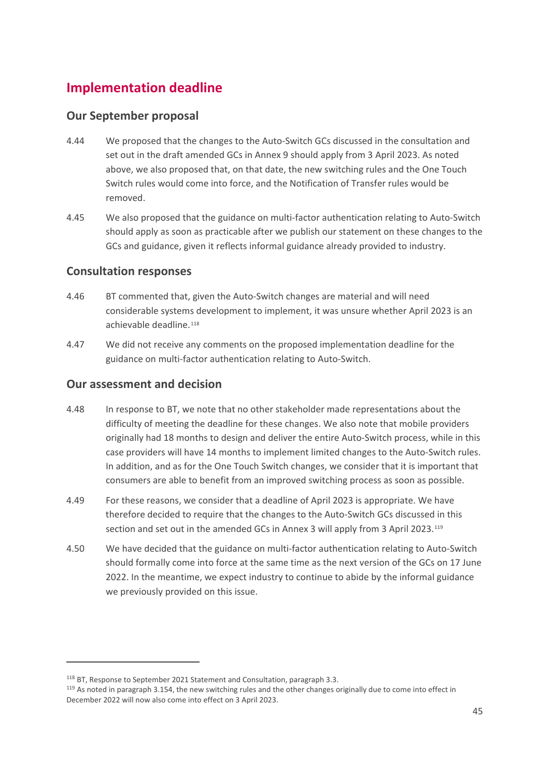# **Implementation deadline**

# **Our September proposal**

- 4.44 We proposed that the changes to the Auto-Switch GCs discussed in the consultation and set out in the draft amended GCs in Annex 9 should apply from 3 April 2023. As noted above, we also proposed that, on that date, the new switching rules and the One Touch Switch rules would come into force, and the Notification of Transfer rules would be removed.
- 4.45 We also proposed that the guidance on multi-factor authentication relating to Auto-Switch should apply as soon as practicable after we publish our statement on these changes to the GCs and guidance, given it reflects informal guidance already provided to industry.

# **Consultation responses**

- 4.46 BT commented that, given the Auto-Switch changes are material and will need considerable systems development to implement, it was unsure whether April 2023 is an achievable deadline.[118](#page-46-0)
- 4.47 We did not receive any comments on the proposed implementation deadline for the guidance on multi-factor authentication relating to Auto-Switch.

# **Our assessment and decision**

- 4.48 In response to BT, we note that no other stakeholder made representations about the difficulty of meeting the deadline for these changes. We also note that mobile providers originally had 18 months to design and deliver the entire Auto-Switch process, while in this case providers will have 14 months to implement limited changes to the Auto-Switch rules. In addition, and as for the One Touch Switch changes, we consider that it is important that consumers are able to benefit from an improved switching process as soon as possible.
- 4.49 For these reasons, we consider that a deadline of April 2023 is appropriate. We have therefore decided to require that the changes to the Auto-Switch GCs discussed in this section and set out in the amended GCs in Annex 3 will apply from 3 April 2023.<sup>[119](#page-46-1)</sup>
- 4.50 We have decided that the guidance on multi-factor authentication relating to Auto-Switch should formally come into force at the same time as the next version of the GCs on 17 June 2022. In the meantime, we expect industry to continue to abide by the informal guidance we previously provided on this issue.

<span id="page-46-0"></span><sup>&</sup>lt;sup>118</sup> BT, Response to September 2021 Statement and Consultation, paragraph 3.3.

<span id="page-46-1"></span><sup>&</sup>lt;sup>119</sup> As noted in paragraph 3.154, the new switching rules and the other changes originally due to come into effect in December 2022 will now also come into effect on 3 April 2023.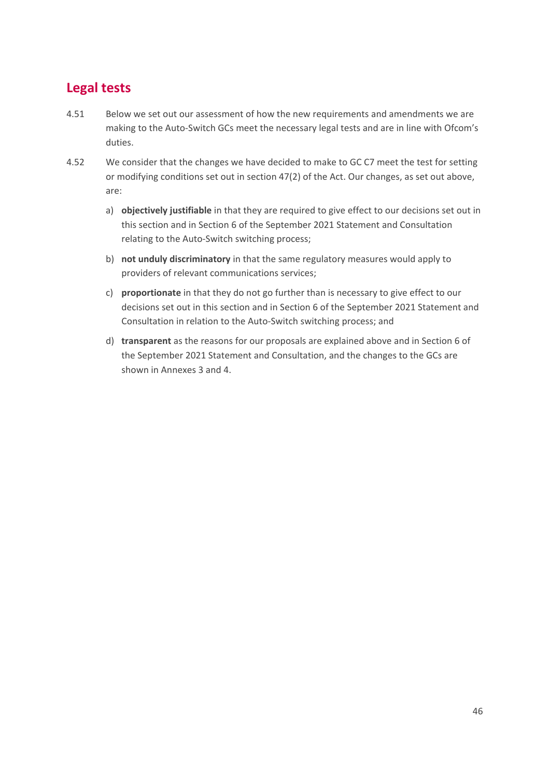# **Legal tests**

- 4.51 Below we set out our assessment of how the new requirements and amendments we are making to the Auto-Switch GCs meet the necessary legal tests and are in line with Ofcom's duties.
- 4.52 We consider that the changes we have decided to make to GC C7 meet the test for setting or modifying conditions set out in section 47(2) of the Act. Our changes, as set out above, are:
	- a) **objectively justifiable** in that they are required to give effect to our decisions set out in this section and in Section 6 of the September 2021 Statement and Consultation relating to the Auto-Switch switching process;
	- b) **not unduly discriminatory** in that the same regulatory measures would apply to providers of relevant communications services;
	- c) **proportionate** in that they do not go further than is necessary to give effect to our decisions set out in this section and in Section 6 of the September 2021 Statement and Consultation in relation to the Auto-Switch switching process; and
	- d) **transparent** as the reasons for our proposals are explained above and in Section 6 of the September 2021 Statement and Consultation, and the changes to the GCs are shown in Annexes 3 and 4.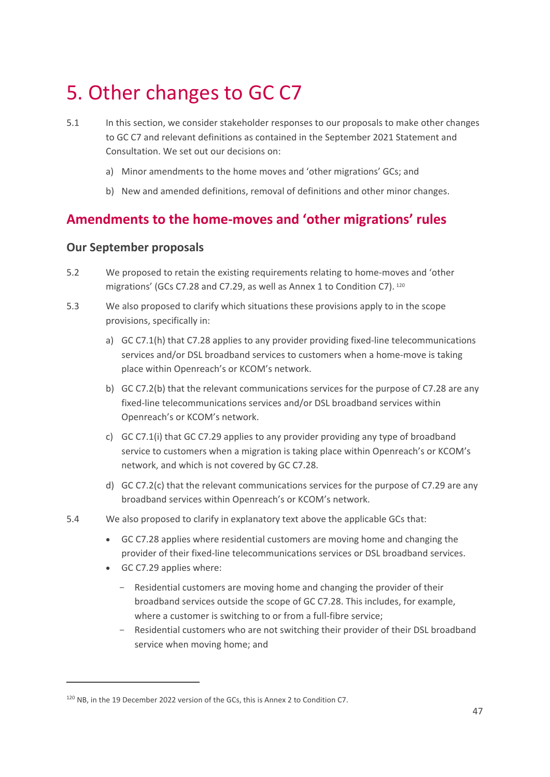# <span id="page-48-0"></span>5. Other changes to GC C7

- 5.1 In this section, we consider stakeholder responses to our proposals to make other changes to GC C7 and relevant definitions as contained in the September 2021 Statement and Consultation. We set out our decisions on:
	- a) Minor amendments to the home moves and 'other migrations' GCs; and
	- b) New and amended definitions, removal of definitions and other minor changes.

# **Amendments to the home-moves and 'other migrations' rules**

### **Our September proposals**

- 5.2 We proposed to retain the existing requirements relating to home-moves and 'other migrations' (GCs C7.28 and C7.29, as well as Annex 1 to Condition C7). [120](#page-48-1)
- 5.3 We also proposed to clarify which situations these provisions apply to in the scope provisions, specifically in:
	- a) GC C7.1(h) that C7.28 applies to any provider providing fixed-line telecommunications services and/or DSL broadband services to customers when a home-move is taking place within Openreach's or KCOM's network.
	- b) GC C7.2(b) that the relevant communications services for the purpose of C7.28 are any fixed-line telecommunications services and/or DSL broadband services within Openreach's or KCOM's network.
	- c) GC C7.1(i) that GC C7.29 applies to any provider providing any type of broadband service to customers when a migration is taking place within Openreach's or KCOM's network, and which is not covered by GC C7.28.
	- d) GC C7.2(c) that the relevant communications services for the purpose of C7.29 are any broadband services within Openreach's or KCOM's network.
- 5.4 We also proposed to clarify in explanatory text above the applicable GCs that:
	- GC C7.28 applies where residential customers are moving home and changing the provider of their fixed-line telecommunications services or DSL broadband services.
	- GC C7.29 applies where:
		- Residential customers are moving home and changing the provider of their broadband services outside the scope of GC C7.28. This includes, for example, where a customer is switching to or from a full-fibre service;
		- Residential customers who are not switching their provider of their DSL broadband service when moving home; and

<span id="page-48-1"></span><sup>120</sup> NB, in the 19 December 2022 version of the GCs, this is Annex 2 to Condition C7.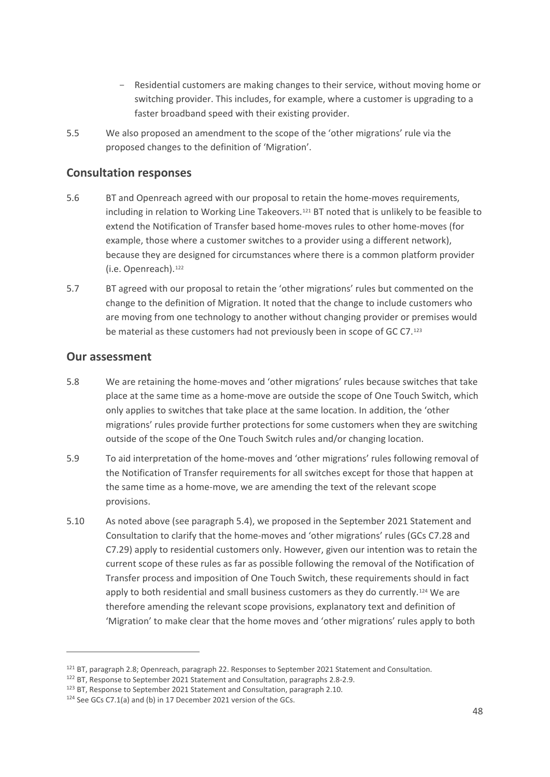- Residential customers are making changes to their service, without moving home or switching provider. This includes, for example, where a customer is upgrading to a faster broadband speed with their existing provider.
- 5.5 We also proposed an amendment to the scope of the 'other migrations' rule via the proposed changes to the definition of 'Migration'.

# **Consultation responses**

- 5.6 BT and Openreach agreed with our proposal to retain the home-moves requirements, including in relation to Working Line Takeovers.[121](#page-49-0) BT noted that is unlikely to be feasible to extend the Notification of Transfer based home-moves rules to other home-moves (for example, those where a customer switches to a provider using a different network), because they are designed for circumstances where there is a common platform provider (i.e. Openreach).<sup>[122](#page-49-1)</sup>
- 5.7 BT agreed with our proposal to retain the 'other migrations' rules but commented on the change to the definition of Migration. It noted that the change to include customers who are moving from one technology to another without changing provider or premises would be material as these customers had not previously been in scope of GC C7.<sup>[123](#page-49-2)</sup>

# **Our assessment**

- 5.8 We are retaining the home-moves and 'other migrations' rules because switches that take place at the same time as a home-move are outside the scope of One Touch Switch, which only applies to switches that take place at the same location. In addition, the 'other migrations' rules provide further protections for some customers when they are switching outside of the scope of the One Touch Switch rules and/or changing location.
- 5.9 To aid interpretation of the home-moves and 'other migrations' rules following removal of the Notification of Transfer requirements for all switches except for those that happen at the same time as a home-move, we are amending the text of the relevant scope provisions.
- 5.10 As noted above (see paragraph 5.4), we proposed in the September 2021 Statement and Consultation to clarify that the home-moves and 'other migrations' rules (GCs C7.28 and C7.29) apply to residential customers only. However, given our intention was to retain the current scope of these rules as far as possible following the removal of the Notification of Transfer process and imposition of One Touch Switch, these requirements should in fact apply to both residential and small business customers as they do currently.<sup>[124](#page-49-3)</sup> We are therefore amending the relevant scope provisions, explanatory text and definition of 'Migration' to make clear that the home moves and 'other migrations' rules apply to both

<span id="page-49-0"></span><sup>&</sup>lt;sup>121</sup> BT, paragraph 2.8; Openreach, paragraph 22. Responses to September 2021 Statement and Consultation.

<span id="page-49-1"></span><sup>122</sup> BT, Response to September 2021 Statement and Consultation, paragraphs 2.8-2.9.

<span id="page-49-2"></span><sup>123</sup> BT, Response to September 2021 Statement and Consultation, paragraph 2.10.

<span id="page-49-3"></span><sup>124</sup> See GCs C7.1(a) and (b) in 17 December 2021 version of the GCs.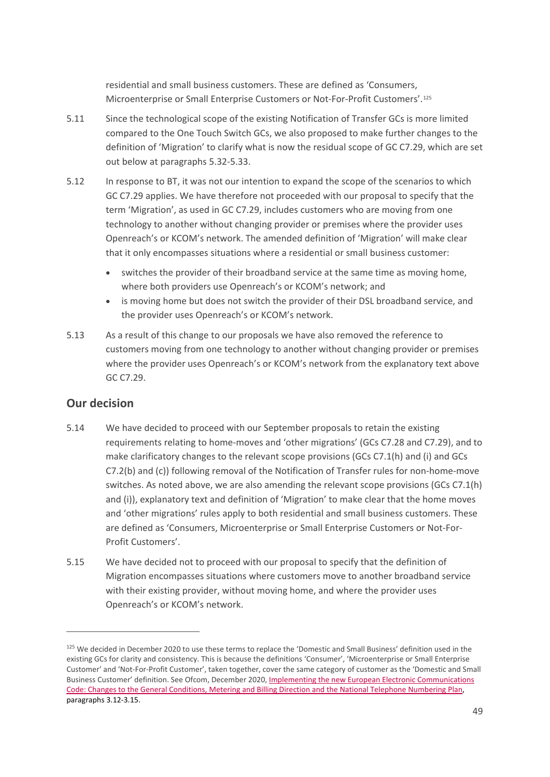residential and small business customers. These are defined as 'Consumers, Microenterprise or Small Enterprise Customers or Not-For-Profit Customers'.[125](#page-50-0)

- 5.11 Since the technological scope of the existing Notification of Transfer GCs is more limited compared to the One Touch Switch GCs, we also proposed to make further changes to the definition of 'Migration' to clarify what is now the residual scope of GC C7.29, which are set out below at paragraphs 5.32-5.33.
- 5.12 In response to BT, it was not our intention to expand the scope of the scenarios to which GC C7.29 applies. We have therefore not proceeded with our proposal to specify that the term 'Migration', as used in GC C7.29, includes customers who are moving from one technology to another without changing provider or premises where the provider uses Openreach's or KCOM's network. The amended definition of 'Migration' will make clear that it only encompasses situations where a residential or small business customer:
	- switches the provider of their broadband service at the same time as moving home, where both providers use Openreach's or KCOM's network; and
	- is moving home but does not switch the provider of their DSL broadband service, and the provider uses Openreach's or KCOM's network.
- 5.13 As a result of this change to our proposals we have also removed the reference to customers moving from one technology to another without changing provider or premises where the provider uses Openreach's or KCOM's network from the explanatory text above GC C7.29.

# **Our decision**

- 5.14 We have decided to proceed with our September proposals to retain the existing requirements relating to home-moves and 'other migrations' (GCs C7.28 and C7.29), and to make clarificatory changes to the relevant scope provisions (GCs C7.1(h) and (i) and GCs C7.2(b) and (c)) following removal of the Notification of Transfer rules for non-home-move switches. As noted above, we are also amending the relevant scope provisions (GCs C7.1(h) and (i)), explanatory text and definition of 'Migration' to make clear that the home moves and 'other migrations' rules apply to both residential and small business customers. These are defined as 'Consumers, Microenterprise or Small Enterprise Customers or Not-For-Profit Customers'.
- 5.15 We have decided not to proceed with our proposal to specify that the definition of Migration encompasses situations where customers move to another broadband service with their existing provider, without moving home, and where the provider uses Openreach's or KCOM's network.

<span id="page-50-0"></span><sup>&</sup>lt;sup>125</sup> We decided in December 2020 to use these terms to replace the 'Domestic and Small Business' definition used in the existing GCs for clarity and consistency. This is because the definitions 'Consumer', 'Microenterprise or Small Enterprise Customer' and 'Not-For-Profit Customer', taken together, cover the same category of customer as the 'Domestic and Small Business Customer' definition. See Ofcom, December 2020[, Implementing the new European Electronic Communications](https://www.ofcom.org.uk/__data/assets/pdf_file/0020/209504/eecc-statement-dec-20.pdf)  Code: [Changes to the General Conditions, Metering and Billing Direction and the National Telephone Numbering Plan,](https://www.ofcom.org.uk/__data/assets/pdf_file/0020/209504/eecc-statement-dec-20.pdf) paragraphs 3.12-3.15.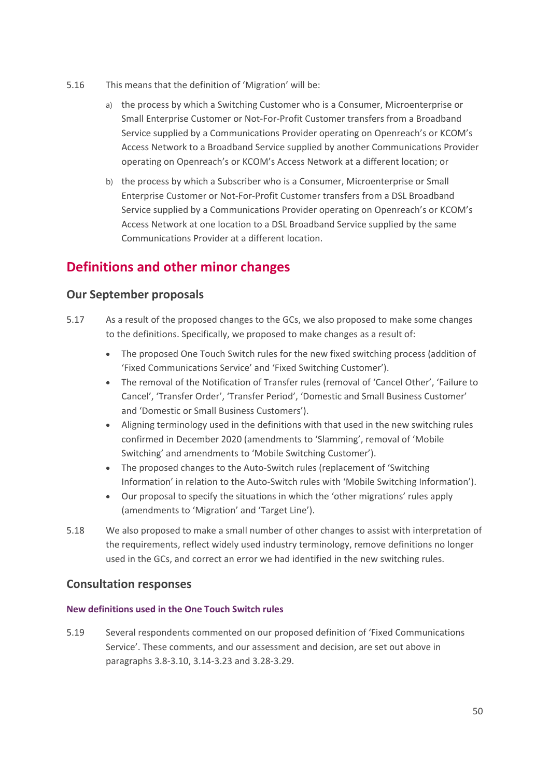- 5.16 This means that the definition of 'Migration' will be:
	- a) the process by which a Switching Customer who is a Consumer, Microenterprise or Small Enterprise Customer or Not-For-Profit Customer transfers from a Broadband Service supplied by a Communications Provider operating on Openreach's or KCOM's Access Network to a Broadband Service supplied by another Communications Provider operating on Openreach's or KCOM's Access Network at a different location; or
	- b) the process by which a Subscriber who is a Consumer, Microenterprise or Small Enterprise Customer or Not-For-Profit Customer transfers from a DSL Broadband Service supplied by a Communications Provider operating on Openreach's or KCOM's Access Network at one location to a DSL Broadband Service supplied by the same Communications Provider at a different location.

# **Definitions and other minor changes**

# **Our September proposals**

- 5.17 As a result of the proposed changes to the GCs, we also proposed to make some changes to the definitions. Specifically, we proposed to make changes as a result of:
	- The proposed One Touch Switch rules for the new fixed switching process (addition of 'Fixed Communications Service' and 'Fixed Switching Customer').
	- The removal of the Notification of Transfer rules (removal of 'Cancel Other', 'Failure to Cancel', 'Transfer Order', 'Transfer Period', 'Domestic and Small Business Customer' and 'Domestic or Small Business Customers').
	- Aligning terminology used in the definitions with that used in the new switching rules confirmed in December 2020 (amendments to 'Slamming', removal of 'Mobile Switching' and amendments to 'Mobile Switching Customer').
	- The proposed changes to the Auto-Switch rules (replacement of 'Switching Information' in relation to the Auto-Switch rules with 'Mobile Switching Information').
	- Our proposal to specify the situations in which the 'other migrations' rules apply (amendments to 'Migration' and 'Target Line').
- 5.18 We also proposed to make a small number of other changes to assist with interpretation of the requirements, reflect widely used industry terminology, remove definitions no longer used in the GCs, and correct an error we had identified in the new switching rules.

# **Consultation responses**

#### **New definitions used in the One Touch Switch rules**

5.19 Several respondents commented on our proposed definition of 'Fixed Communications Service'. These comments, and our assessment and decision, are set out above in paragraphs 3.8-3.10, 3.14-3.23 and 3.28-3.29.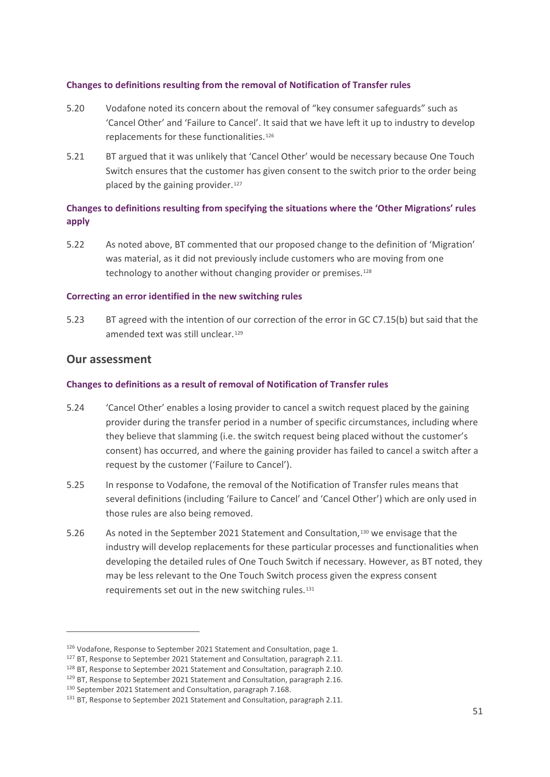#### **Changes to definitions resulting from the removal of Notification of Transfer rules**

- 5.20 Vodafone noted its concern about the removal of "key consumer safeguards" such as 'Cancel Other' and 'Failure to Cancel'. It said that we have left it up to industry to develop replacements for these functionalities.<sup>[126](#page-52-0)</sup>
- 5.21 BT argued that it was unlikely that 'Cancel Other' would be necessary because One Touch Switch ensures that the customer has given consent to the switch prior to the order being placed by the gaining provider.<sup>[127](#page-52-1)</sup>

### **Changes to definitions resulting from specifying the situations where the 'Other Migrations' rules apply**

5.22 As noted above, BT commented that our proposed change to the definition of 'Migration' was material, as it did not previously include customers who are moving from one technology to another without changing provider or premises.<sup>[128](#page-52-2)</sup>

#### **Correcting an error identified in the new switching rules**

5.23 BT agreed with the intention of our correction of the error in GC C7.15(b) but said that the amended text was still unclear.<sup>[129](#page-52-3)</sup>

### **Our assessment**

#### **Changes to definitions as a result of removal of Notification of Transfer rules**

- 5.24 'Cancel Other' enables a losing provider to cancel a switch request placed by the gaining provider during the transfer period in a number of specific circumstances, including where they believe that slamming (i.e. the switch request being placed without the customer's consent) has occurred, and where the gaining provider has failed to cancel a switch after a request by the customer ('Failure to Cancel').
- 5.25 In response to Vodafone, the removal of the Notification of Transfer rules means that several definitions (including 'Failure to Cancel' and 'Cancel Other') which are only used in those rules are also being removed.
- 5.26 As noted in the September 2021 Statement and Consultation,[130](#page-52-4) we envisage that the industry will develop replacements for these particular processes and functionalities when developing the detailed rules of One Touch Switch if necessary. However, as BT noted, they may be less relevant to the One Touch Switch process given the express consent requirements set out in the new switching rules.<sup>[131](#page-52-5)</sup>

<span id="page-52-0"></span><sup>126</sup> Vodafone, Response to September 2021 Statement and Consultation, page 1.

<span id="page-52-1"></span><sup>&</sup>lt;sup>127</sup> BT, Response to September 2021 Statement and Consultation, paragraph 2.11.

<span id="page-52-2"></span><sup>128</sup> BT, Response to September 2021 Statement and Consultation, paragraph 2.10.

<span id="page-52-3"></span><sup>&</sup>lt;sup>129</sup> BT, Response to September 2021 Statement and Consultation, paragraph 2.16.

<span id="page-52-4"></span><sup>130</sup> September 2021 Statement and Consultation, paragraph 7.168.

<span id="page-52-5"></span><sup>&</sup>lt;sup>131</sup> BT, Response to September 2021 Statement and Consultation, paragraph 2.11.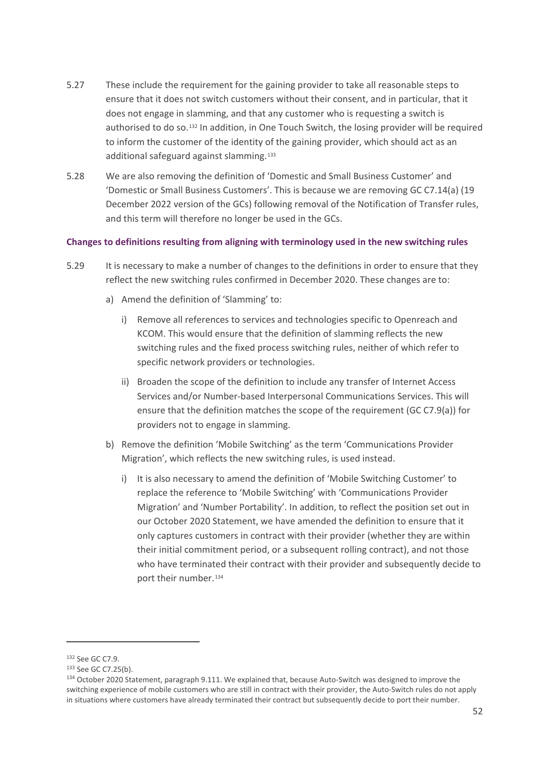- 5.27 These include the requirement for the gaining provider to take all reasonable steps to ensure that it does not switch customers without their consent, and in particular, that it does not engage in slamming, and that any customer who is requesting a switch is authorised to do so.[132](#page-53-0) In addition, in One Touch Switch, the losing provider will be required to inform the customer of the identity of the gaining provider, which should act as an additional safeguard against slamming.[133](#page-53-1)
- 5.28 We are also removing the definition of 'Domestic and Small Business Customer' and 'Domestic or Small Business Customers'. This is because we are removing GC C7.14(a) (19 December 2022 version of the GCs) following removal of the Notification of Transfer rules, and this term will therefore no longer be used in the GCs.

#### **Changes to definitions resulting from aligning with terminology used in the new switching rules**

- 5.29 It is necessary to make a number of changes to the definitions in order to ensure that they reflect the new switching rules confirmed in December 2020. These changes are to:
	- a) Amend the definition of 'Slamming' to:
		- i) Remove all references to services and technologies specific to Openreach and KCOM. This would ensure that the definition of slamming reflects the new switching rules and the fixed process switching rules, neither of which refer to specific network providers or technologies.
		- ii) Broaden the scope of the definition to include any transfer of Internet Access Services and/or Number-based Interpersonal Communications Services. This will ensure that the definition matches the scope of the requirement (GC C7.9(a)) for providers not to engage in slamming.
	- b) Remove the definition 'Mobile Switching' as the term 'Communications Provider Migration', which reflects the new switching rules, is used instead.
		- i) It is also necessary to amend the definition of 'Mobile Switching Customer' to replace the reference to 'Mobile Switching' with 'Communications Provider Migration' and 'Number Portability'. In addition, to reflect the position set out in our October 2020 Statement, we have amended the definition to ensure that it only captures customers in contract with their provider (whether they are within their initial commitment period, or a subsequent rolling contract), and not those who have terminated their contract with their provider and subsequently decide to port their number.<sup>[134](#page-53-2)</sup>

<span id="page-53-0"></span><sup>132</sup> See GC C7.9.

<span id="page-53-1"></span><sup>133</sup> See GC C7.25(b).

<span id="page-53-2"></span><sup>134</sup> October 2020 Statement, paragraph 9.111. We explained that, because Auto-Switch was designed to improve the switching experience of mobile customers who are still in contract with their provider, the Auto-Switch rules do not apply in situations where customers have already terminated their contract but subsequently decide to port their number.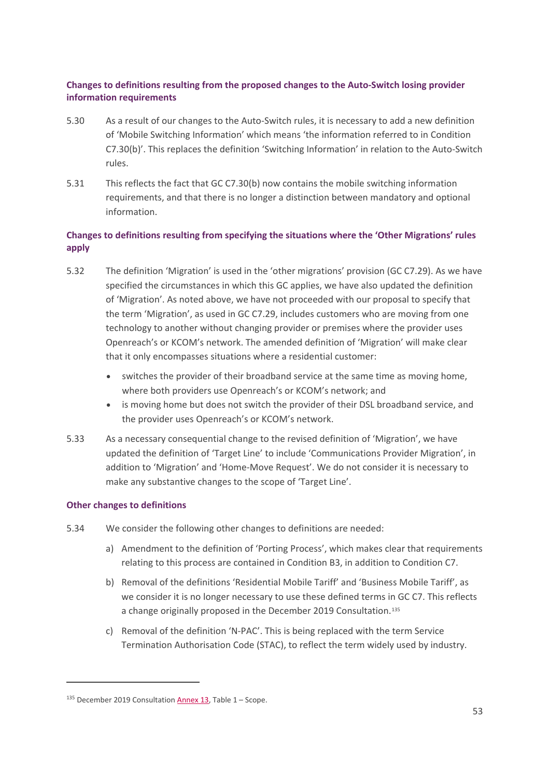#### **Changes to definitions resulting from the proposed changes to the Auto-Switch losing provider information requirements**

- 5.30 As a result of our changes to the Auto-Switch rules, it is necessary to add a new definition of 'Mobile Switching Information' which means 'the information referred to in Condition C7.30(b)'. This replaces the definition 'Switching Information' in relation to the Auto-Switch rules.
- 5.31 This reflects the fact that GC C7.30(b) now contains the mobile switching information requirements, and that there is no longer a distinction between mandatory and optional information.

# **Changes to definitions resulting from specifying the situations where the 'Other Migrations' rules apply**

- 5.32 The definition 'Migration' is used in the 'other migrations' provision (GC C7.29). As we have specified the circumstances in which this GC applies, we have also updated the definition of 'Migration'. As noted above, we have not proceeded with our proposal to specify that the term 'Migration', as used in GC C7.29, includes customers who are moving from one technology to another without changing provider or premises where the provider uses Openreach's or KCOM's network. The amended definition of 'Migration' will make clear that it only encompasses situations where a residential customer:
	- switches the provider of their broadband service at the same time as moving home, where both providers use Openreach's or KCOM's network; and
	- is moving home but does not switch the provider of their DSL broadband service, and the provider uses Openreach's or KCOM's network.
- 5.33 As a necessary consequential change to the revised definition of 'Migration', we have updated the definition of 'Target Line' to include 'Communications Provider Migration', in addition to 'Migration' and 'Home-Move Request'. We do not consider it is necessary to make any substantive changes to the scope of 'Target Line'.

#### **Other changes to definitions**

- 5.34 We consider the following other changes to definitions are needed:
	- a) Amendment to the definition of 'Porting Process', which makes clear that requirements relating to this process are contained in Condition B3, in addition to Condition C7.
	- b) Removal of the definitions 'Residential Mobile Tariff' and 'Business Mobile Tariff', as we consider it is no longer necessary to use these defined terms in GC C7. This reflects a change originally proposed in the December 2019 Consultation.<sup>[135](#page-54-0)</sup>
	- c) Removal of the definition 'N-PAC'. This is being replaced with the term Service Termination Authorisation Code (STAC), to reflect the term widely used by industry.

<span id="page-54-0"></span> $135$  December 2019 Consultation **Annex 13**, Table 1 – Scope.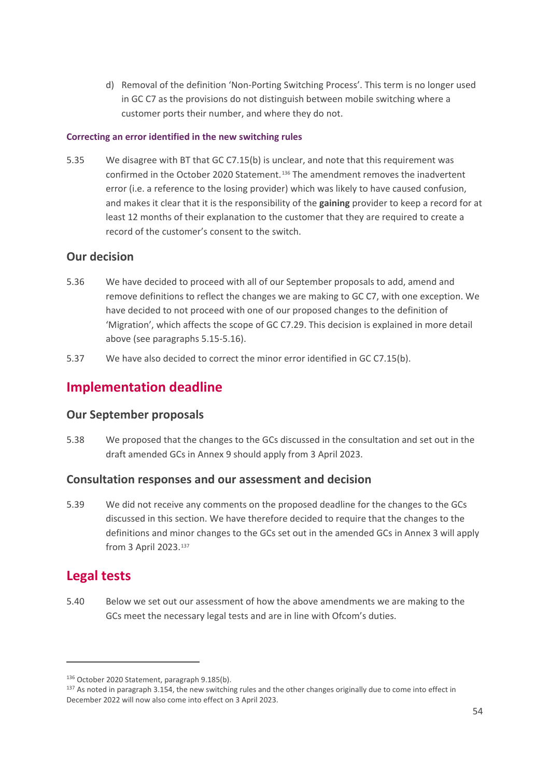d) Removal of the definition 'Non-Porting Switching Process'. This term is no longer used in GC C7 as the provisions do not distinguish between mobile switching where a customer ports their number, and where they do not.

#### **Correcting an error identified in the new switching rules**

5.35 We disagree with BT that GC C7.15(b) is unclear, and note that this requirement was confirmed in the October 2020 Statement.[136](#page-55-0) The amendment removes the inadvertent error (i.e. a reference to the losing provider) which was likely to have caused confusion, and makes it clear that it is the responsibility of the **gaining** provider to keep a record for at least 12 months of their explanation to the customer that they are required to create a record of the customer's consent to the switch.

# **Our decision**

- 5.36 We have decided to proceed with all of our September proposals to add, amend and remove definitions to reflect the changes we are making to GC C7, with one exception. We have decided to not proceed with one of our proposed changes to the definition of 'Migration', which affects the scope of GC C7.29. This decision is explained in more detail above (see paragraphs 5.15-5.16).
- 5.37 We have also decided to correct the minor error identified in GC C7.15(b).

# **Implementation deadline**

# **Our September proposals**

5.38 We proposed that the changes to the GCs discussed in the consultation and set out in the draft amended GCs in Annex 9 should apply from 3 April 2023.

# **Consultation responses and our assessment and decision**

5.39 We did not receive any comments on the proposed deadline for the changes to the GCs discussed in this section. We have therefore decided to require that the changes to the definitions and minor changes to the GCs set out in the amended GCs in Annex 3 will apply from 3 April 2023.[137](#page-55-1)

# **Legal tests**

5.40 Below we set out our assessment of how the above amendments we are making to the GCs meet the necessary legal tests and are in line with Ofcom's duties.

<span id="page-55-0"></span><sup>136</sup> October 2020 Statement, paragraph 9.185(b).

<span id="page-55-1"></span><sup>&</sup>lt;sup>137</sup> As noted in paragraph 3.154, the new switching rules and the other changes originally due to come into effect in December 2022 will now also come into effect on 3 April 2023.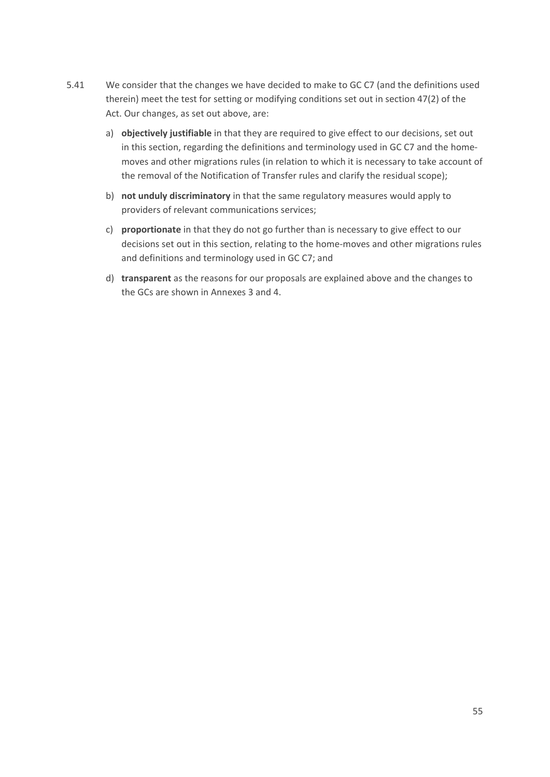- 5.41 We consider that the changes we have decided to make to GC C7 (and the definitions used therein) meet the test for setting or modifying conditions set out in section 47(2) of the Act. Our changes, as set out above, are:
	- a) **objectively justifiable** in that they are required to give effect to our decisions, set out in this section, regarding the definitions and terminology used in GC C7 and the homemoves and other migrations rules (in relation to which it is necessary to take account of the removal of the Notification of Transfer rules and clarify the residual scope);
	- b) **not unduly discriminatory** in that the same regulatory measures would apply to providers of relevant communications services;
	- c) **proportionate** in that they do not go further than is necessary to give effect to our decisions set out in this section, relating to the home-moves and other migrations rules and definitions and terminology used in GC C7; and
	- d) **transparent** as the reasons for our proposals are explained above and the changes to the GCs are shown in Annexes 3 and 4.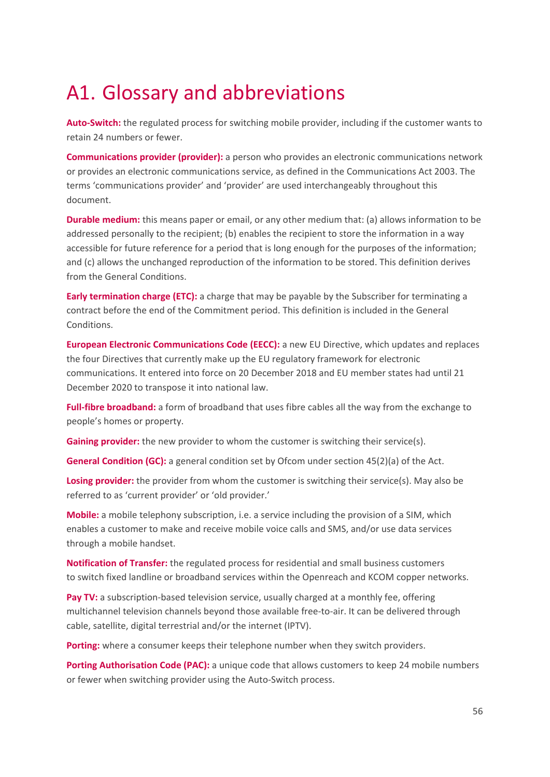# <span id="page-57-0"></span>A1. Glossary and abbreviations

**Auto-Switch:** the regulated process for switching mobile provider, including if the customer wants to retain 24 numbers or fewer.   

**Communications provider (provider):** a person who provides an electronic communications network or provides an electronic communications service, as defined in the Communications Act 2003. The terms 'communications provider' and 'provider' are used interchangeably throughout this document.   

**Durable medium:** this means paper or email, or any other medium that: (a) allows information to be addressed personally to the recipient; (b) enables the recipient to store the information in a way accessible for future reference for a period that is long enough for the purposes of the information; and (c) allows the unchanged reproduction of the information to be stored. This definition derives from the General Conditions.  

**Early termination charge (ETC):** a charge that may be payable by the Subscriber for terminating a contract before the end of the Commitment period. This definition is included in the General Conditions.  

**European Electronic Communications Code (EECC):** a new EU Directive, which updates and replaces the four Directives that currently make up the EU regulatory framework for electronic communications. It entered into force on 20 December 2018 and EU member states had until 21 December 2020 to transpose it into national law.   

**Full-fibre broadband:** a form of broadband that uses fibre cables all the way from the exchange to people's homes or property.  

**Gaining provider:** the new provider to whom the customer is switching their service(s).

**General Condition (GC):** a general condition set by Ofcom under section 45(2)(a) of the Act.

**Losing provider:** the provider from whom the customer is switching their service(s). May also be referred to as 'current provider' or 'old provider.'

**Mobile:** a mobile telephony subscription, i.e. a service including the provision of a SIM, which enables a customer to make and receive mobile voice calls and SMS, and/or use data services through a mobile handset.   

**Notification of Transfer:** the regulated process for residential and small business customers to switch fixed landline or broadband services within the Openreach and KCOM copper networks.  

**Pay TV:** a subscription-based television service, usually charged at a monthly fee, offering multichannel television channels beyond those available free-to-air. It can be delivered through cable, satellite, digital terrestrial and/or the internet (IPTV).   

**Porting:** where a consumer keeps their telephone number when they switch providers.  

**Porting Authorisation Code (PAC):** a unique code that allows customers to keep 24 mobile numbers or fewer when switching provider using the Auto-Switch process.